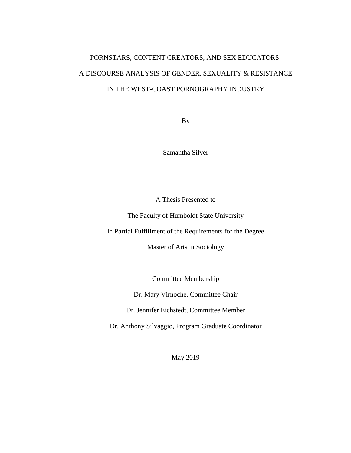# PORNSTARS, CONTENT CREATORS, AND SEX EDUCATORS: A DISCOURSE ANALYSIS OF GENDER, SEXUALITY & RESISTANCE IN THE WEST-COAST PORNOGRAPHY INDUSTRY

By

Samantha Silver

A Thesis Presented to

The Faculty of Humboldt State University

In Partial Fulfillment of the Requirements for the Degree

Master of Arts in Sociology

Committee Membership

Dr. Mary Virnoche, Committee Chair

Dr. Jennifer Eichstedt, Committee Member

Dr. Anthony Silvaggio, Program Graduate Coordinator

May 2019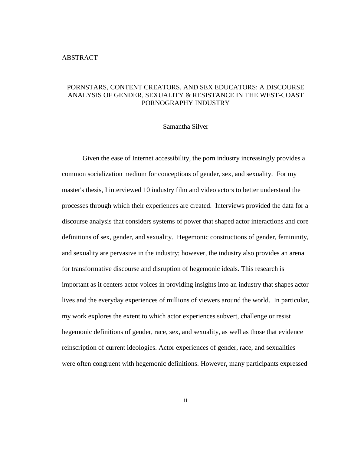#### <span id="page-1-0"></span>ABSTRACT

# PORNSTARS, CONTENT CREATORS, AND SEX EDUCATORS: A DISCOURSE ANALYSIS OF GENDER, SEXUALITY & RESISTANCE IN THE WEST-COAST PORNOGRAPHY INDUSTRY

#### Samantha Silver

Given the ease of Internet accessibility, the porn industry increasingly provides a common socialization medium for conceptions of gender, sex, and sexuality. For my master's thesis, I interviewed 10 industry film and video actors to better understand the processes through which their experiences are created. Interviews provided the data for a discourse analysis that considers systems of power that shaped actor interactions and core definitions of sex, gender, and sexuality. Hegemonic constructions of gender, femininity, and sexuality are pervasive in the industry; however, the industry also provides an arena for transformative discourse and disruption of hegemonic ideals. This research is important as it centers actor voices in providing insights into an industry that shapes actor lives and the everyday experiences of millions of viewers around the world. In particular, my work explores the extent to which actor experiences subvert, challenge or resist hegemonic definitions of gender, race, sex, and sexuality, as well as those that evidence reinscription of current ideologies. Actor experiences of gender, race, and sexualities were often congruent with hegemonic definitions. However, many participants expressed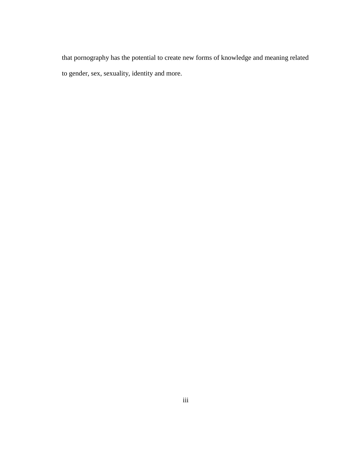that pornography has the potential to create new forms of knowledge and meaning related to gender, sex, sexuality, identity and more.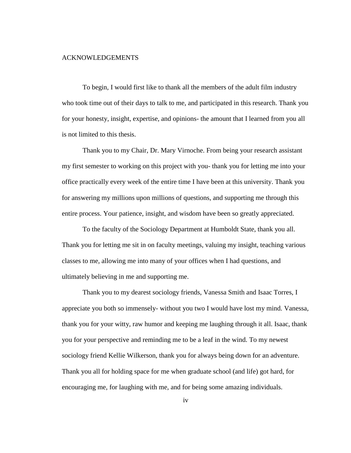#### <span id="page-3-0"></span>ACKNOWLEDGEMENTS

To begin, I would first like to thank all the members of the adult film industry who took time out of their days to talk to me, and participated in this research. Thank you for your honesty, insight, expertise, and opinions- the amount that I learned from you all is not limited to this thesis.

Thank you to my Chair, Dr. Mary Virnoche. From being your research assistant my first semester to working on this project with you- thank you for letting me into your office practically every week of the entire time I have been at this university. Thank you for answering my millions upon millions of questions, and supporting me through this entire process. Your patience, insight, and wisdom have been so greatly appreciated.

To the faculty of the Sociology Department at Humboldt State, thank you all. Thank you for letting me sit in on faculty meetings, valuing my insight, teaching various classes to me, allowing me into many of your offices when I had questions, and ultimately believing in me and supporting me.

Thank you to my dearest sociology friends, Vanessa Smith and Isaac Torres, I appreciate you both so immensely- without you two I would have lost my mind. Vanessa, thank you for your witty, raw humor and keeping me laughing through it all. Isaac, thank you for your perspective and reminding me to be a leaf in the wind. To my newest sociology friend Kellie Wilkerson, thank you for always being down for an adventure. Thank you all for holding space for me when graduate school (and life) got hard, for encouraging me, for laughing with me, and for being some amazing individuals.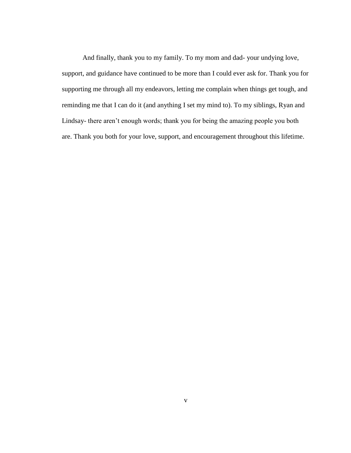And finally, thank you to my family. To my mom and dad- your undying love, support, and guidance have continued to be more than I could ever ask for. Thank you for supporting me through all my endeavors, letting me complain when things get tough, and reminding me that I can do it (and anything I set my mind to). To my siblings, Ryan and Lindsay- there aren't enough words; thank you for being the amazing people you both are. Thank you both for your love, support, and encouragement throughout this lifetime.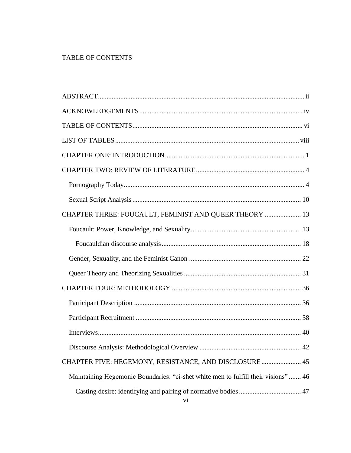# <span id="page-5-0"></span>TABLE OF CONTENTS

| CHAPTER THREE: FOUCAULT, FEMINIST AND QUEER THEORY  13                            |
|-----------------------------------------------------------------------------------|
|                                                                                   |
|                                                                                   |
|                                                                                   |
|                                                                                   |
|                                                                                   |
|                                                                                   |
|                                                                                   |
|                                                                                   |
| 42                                                                                |
| CHAPTER FIVE: HEGEMONY, RESISTANCE, AND DISCLOSURE 45                             |
| Maintaining Hegemonic Boundaries: "ci-shet white men to fulfill their visions" 46 |
| vi                                                                                |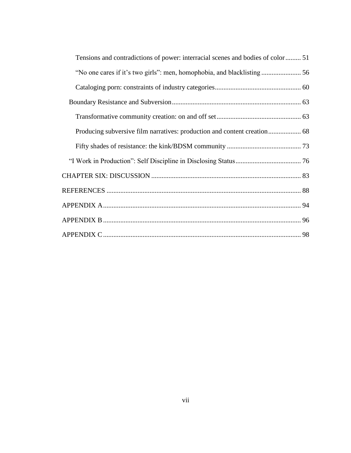| Tensions and contradictions of power: interracial scenes and bodies of color 51 |  |
|---------------------------------------------------------------------------------|--|
|                                                                                 |  |
|                                                                                 |  |
|                                                                                 |  |
|                                                                                 |  |
|                                                                                 |  |
|                                                                                 |  |
|                                                                                 |  |
|                                                                                 |  |
|                                                                                 |  |
|                                                                                 |  |
|                                                                                 |  |
|                                                                                 |  |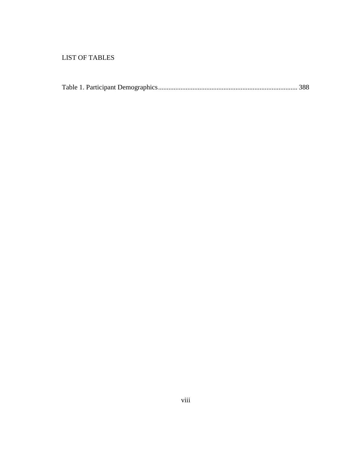# <span id="page-7-0"></span>LIST OF TABLES

|--|--|--|--|--|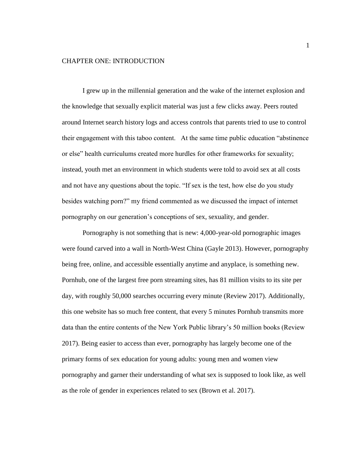## <span id="page-8-0"></span>CHAPTER ONE: INTRODUCTION

I grew up in the millennial generation and the wake of the internet explosion and the knowledge that sexually explicit material was just a few clicks away. Peers routed around Internet search history logs and access controls that parents tried to use to control their engagement with this taboo content. At the same time public education "abstinence or else" health curriculums created more hurdles for other frameworks for sexuality; instead, youth met an environment in which students were told to avoid sex at all costs and not have any questions about the topic. "If sex is the test, how else do you study besides watching porn?" my friend commented as we discussed the impact of internet pornography on our generation's conceptions of sex, sexuality, and gender.

Pornography is not something that is new: 4,000-year-old pornographic images were found carved into a wall in North-West China (Gayle 2013). However, pornography being free, online, and accessible essentially anytime and anyplace, is something new. Pornhub, one of the largest free porn streaming sites, has 81 million visits to its site per day, with roughly 50,000 searches occurring every minute (Review 2017). Additionally, this one website has so much free content, that every 5 minutes Pornhub transmits more data than the entire contents of the New York Public library's 50 million books (Review 2017). Being easier to access than ever, pornography has largely become one of the primary forms of sex education for young adults: young men and women view pornography and garner their understanding of what sex is supposed to look like, as well as the role of gender in experiences related to sex (Brown et al. 2017).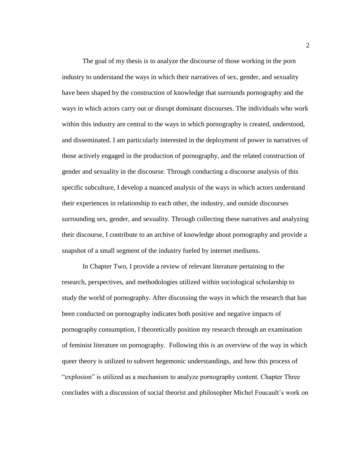The goal of my thesis is to analyze the discourse of those working in the porn industry to understand the ways in which their narratives of sex, gender, and sexuality have been shaped by the construction of knowledge that surrounds pornography and the ways in which actors carry out or disrupt dominant discourses. The individuals who work within this industry are central to the ways in which pornography is created, understood, and disseminated. I am particularly interested in the deployment of power in narratives of those actively engaged in the production of pornography, and the related construction of gender and sexuality in the discourse. Through conducting a discourse analysis of this specific subculture, I develop a nuanced analysis of the ways in which actors understand their experiences in relationship to each other, the industry, and outside discourses surrounding sex, gender, and sexuality. Through collecting these narratives and analyzing their discourse, I contribute to an archive of knowledge about pornography and provide a snapshot of a small segment of the industry fueled by internet mediums.

In Chapter Two, I provide a review of relevant literature pertaining to the research, perspectives, and methodologies utilized within sociological scholarship to study the world of pornography. After discussing the ways in which the research that has been conducted on pornography indicates both positive and negative impacts of pornography consumption, I theoretically position my research through an examination of feminist literature on pornography. Following this is an overview of the way in which queer theory is utilized to subvert hegemonic understandings, and how this process of "explosion" is utilized as a mechanism to analyze pornography content. Chapter Three concludes with a discussion of social theorist and philosopher Michel Foucault's work on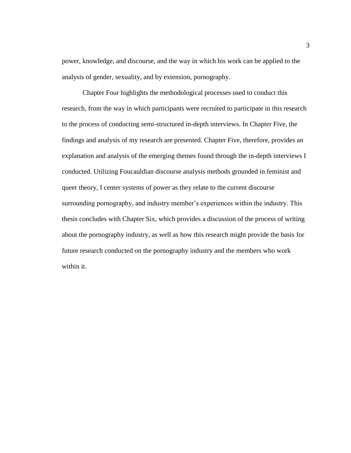power, knowledge, and discourse, and the way in which his work can be applied to the analysis of gender, sexuality, and by extension, pornography.

Chapter Four highlights the methodological processes used to conduct this research, from the way in which participants were recruited to participate in this research to the process of conducting semi-structured in-depth interviews. In Chapter Five, the findings and analysis of my research are presented. Chapter Five, therefore, provides an explanation and analysis of the emerging themes found through the in-depth interviews I conducted. Utilizing Foucauldian discourse analysis methods grounded in feminist and queer theory, I center systems of power as they relate to the current discourse surrounding pornography, and industry member's experiences within the industry. This thesis concludes with Chapter Six, which provides a discussion of the process of writing about the pornography industry, as well as how this research might provide the basis for future research conducted on the pornography industry and the members who work within it.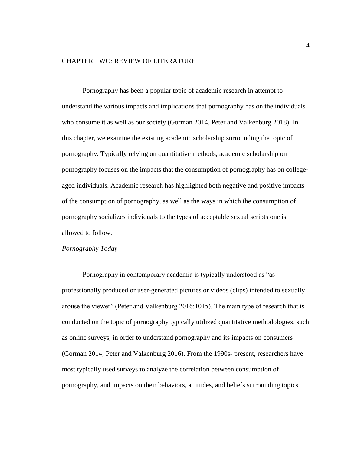## <span id="page-11-0"></span>CHAPTER TWO: REVIEW OF LITERATURE

Pornography has been a popular topic of academic research in attempt to understand the various impacts and implications that pornography has on the individuals who consume it as well as our society (Gorman 2014, Peter and Valkenburg 2018). In this chapter, we examine the existing academic scholarship surrounding the topic of pornography. Typically relying on quantitative methods, academic scholarship on pornography focuses on the impacts that the consumption of pornography has on collegeaged individuals. Academic research has highlighted both negative and positive impacts of the consumption of pornography, as well as the ways in which the consumption of pornography socializes individuals to the types of acceptable sexual scripts one is allowed to follow.

# <span id="page-11-1"></span>*Pornography Today*

Pornography in contemporary academia is typically understood as "as professionally produced or user-generated pictures or videos (clips) intended to sexually arouse the viewer" (Peter and Valkenburg 2016:1015). The main type of research that is conducted on the topic of pornography typically utilized quantitative methodologies, such as online surveys, in order to understand pornography and its impacts on consumers (Gorman 2014; Peter and Valkenburg 2016). From the 1990s- present, researchers have most typically used surveys to analyze the correlation between consumption of pornography, and impacts on their behaviors, attitudes, and beliefs surrounding topics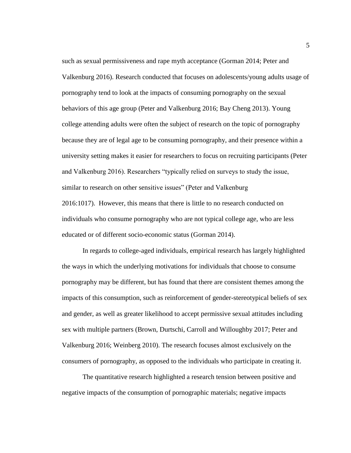such as sexual permissiveness and rape myth acceptance (Gorman 2014; Peter and Valkenburg 2016). Research conducted that focuses on adolescents/young adults usage of pornography tend to look at the impacts of consuming pornography on the sexual behaviors of this age group (Peter and Valkenburg 2016; Bay Cheng 2013). Young college attending adults were often the subject of research on the topic of pornography because they are of legal age to be consuming pornography, and their presence within a university setting makes it easier for researchers to focus on recruiting participants (Peter and Valkenburg 2016). Researchers "typically relied on surveys to study the issue, similar to research on other sensitive issues" (Peter and Valkenburg 2016:1017). However, this means that there is little to no research conducted on individuals who consume pornography who are not typical college age, who are less educated or of different socio-economic status (Gorman 2014).

In regards to college-aged individuals, empirical research has largely highlighted the ways in which the underlying motivations for individuals that choose to consume pornography may be different, but has found that there are consistent themes among the impacts of this consumption, such as reinforcement of gender-stereotypical beliefs of sex and gender, as well as greater likelihood to accept permissive sexual attitudes including sex with multiple partners (Brown, Durtschi, Carroll and Willoughby 2017; Peter and Valkenburg 2016; Weinberg 2010). The research focuses almost exclusively on the consumers of pornography, as opposed to the individuals who participate in creating it.

The quantitative research highlighted a research tension between positive and negative impacts of the consumption of pornographic materials; negative impacts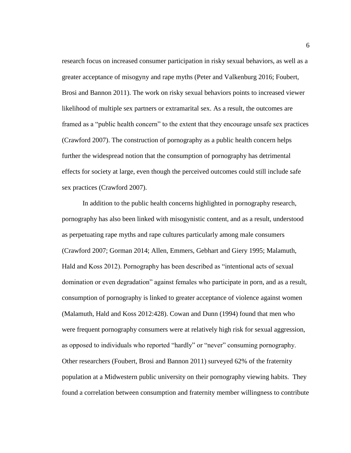research focus on increased consumer participation in risky sexual behaviors, as well as a greater acceptance of misogyny and rape myths (Peter and Valkenburg 2016; Foubert, Brosi and Bannon 2011). The work on risky sexual behaviors points to increased viewer likelihood of multiple sex partners or extramarital sex. As a result, the outcomes are framed as a "public health concern" to the extent that they encourage unsafe sex practices (Crawford 2007). The construction of pornography as a public health concern helps further the widespread notion that the consumption of pornography has detrimental effects for society at large, even though the perceived outcomes could still include safe sex practices (Crawford 2007).

In addition to the public health concerns highlighted in pornography research, pornography has also been linked with misogynistic content, and as a result, understood as perpetuating rape myths and rape cultures particularly among male consumers (Crawford 2007; Gorman 2014; Allen, Emmers, Gebhart and Giery 1995; Malamuth, Hald and Koss 2012). Pornography has been described as "intentional acts of sexual domination or even degradation" against females who participate in porn, and as a result, consumption of pornography is linked to greater acceptance of violence against women (Malamuth, Hald and Koss 2012:428). Cowan and Dunn (1994) found that men who were frequent pornography consumers were at relatively high risk for sexual aggression, as opposed to individuals who reported "hardly" or "never" consuming pornography. Other researchers (Foubert, Brosi and Bannon 2011) surveyed 62% of the fraternity population at a Midwestern public university on their pornography viewing habits. They found a correlation between consumption and fraternity member willingness to contribute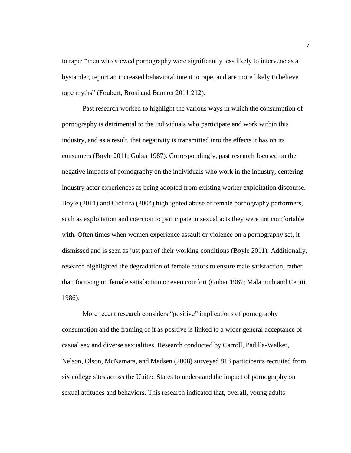to rape: "men who viewed pornography were significantly less likely to intervene as a bystander, report an increased behavioral intent to rape, and are more likely to believe rape myths" (Foubert, Brosi and Bannon 2011:212).

Past research worked to highlight the various ways in which the consumption of pornography is detrimental to the individuals who participate and work within this industry, and as a result, that negativity is transmitted into the effects it has on its consumers (Boyle 2011; Gubar 1987). Correspondingly, past research focused on the negative impacts of pornography on the individuals who work in the industry, centering industry actor experiences as being adopted from existing worker exploitation discourse. Boyle (2011) and Ciclitira (2004) highlighted abuse of female pornography performers, such as exploitation and coercion to participate in sexual acts they were not comfortable with. Often times when women experience assault or violence on a pornography set, it dismissed and is seen as just part of their working conditions (Boyle 2011). Additionally, research highlighted the degradation of female actors to ensure male satisfaction, rather than focusing on female satisfaction or even comfort (Gubar 1987; Malamuth and Ceniti 1986).

More recent research considers "positive" implications of pornography consumption and the framing of it as positive is linked to a wider general acceptance of casual sex and diverse sexualities. Research conducted by Carroll, Padilla-Walker, Nelson, Olson, McNamara, and Madsen (2008) surveyed 813 participants recruited from six college sites across the United States to understand the impact of pornography on sexual attitudes and behaviors. This research indicated that, overall, young adults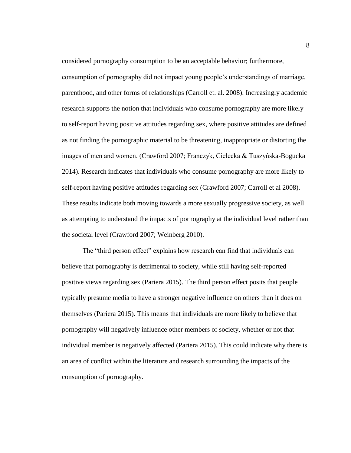considered pornography consumption to be an acceptable behavior; furthermore,

consumption of pornography did not impact young people's understandings of marriage, parenthood, and other forms of relationships (Carroll et. al. 2008). Increasingly academic research supports the notion that individuals who consume pornography are more likely to self-report having positive attitudes regarding sex, where positive attitudes are defined as not finding the pornographic material to be threatening, inappropriate or distorting the images of men and women. (Crawford 2007; Franczyk, Cielecka & Tuszyńska-Bogucka 2014). Research indicates that individuals who consume pornography are more likely to self-report having positive attitudes regarding sex (Crawford 2007; Carroll et al 2008). These results indicate both moving towards a more sexually progressive society, as well as attempting to understand the impacts of pornography at the individual level rather than the societal level (Crawford 2007; Weinberg 2010).

The "third person effect" explains how research can find that individuals can believe that pornography is detrimental to society, while still having self-reported positive views regarding sex (Pariera 2015). The third person effect posits that people typically presume media to have a stronger negative influence on others than it does on themselves (Pariera 2015). This means that individuals are more likely to believe that pornography will negatively influence other members of society, whether or not that individual member is negatively affected (Pariera 2015). This could indicate why there is an area of conflict within the literature and research surrounding the impacts of the consumption of pornography.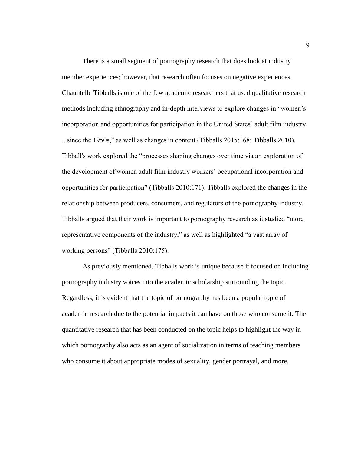There is a small segment of pornography research that does look at industry member experiences; however, that research often focuses on negative experiences. Chauntelle Tibballs is one of the few academic researchers that used qualitative research methods including ethnography and in-depth interviews to explore changes in "women's incorporation and opportunities for participation in the United States' adult film industry ...since the 1950s," as well as changes in content (Tibballs 2015:168; Tibballs 2010). Tibball's work explored the "processes shaping changes over time via an exploration of the development of women adult film industry workers' occupational incorporation and opportunities for participation" (Tibballs 2010:171). Tibballs explored the changes in the relationship between producers, consumers, and regulators of the pornography industry. Tibballs argued that their work is important to pornography research as it studied "more representative components of the industry," as well as highlighted "a vast array of working persons" (Tibballs 2010:175).

As previously mentioned, Tibballs work is unique because it focused on including pornography industry voices into the academic scholarship surrounding the topic. Regardless, it is evident that the topic of pornography has been a popular topic of academic research due to the potential impacts it can have on those who consume it. The quantitative research that has been conducted on the topic helps to highlight the way in which pornography also acts as an agent of socialization in terms of teaching members who consume it about appropriate modes of sexuality, gender portrayal, and more.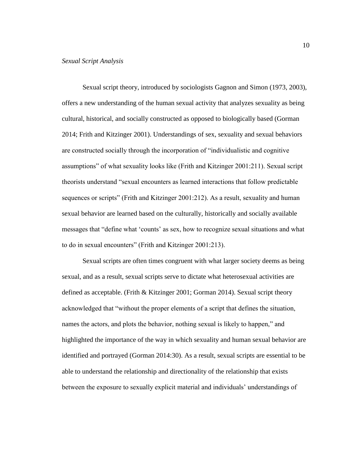<span id="page-17-0"></span>Sexual script theory, introduced by sociologists Gagnon and Simon (1973, 2003), offers a new understanding of the human sexual activity that analyzes sexuality as being cultural, historical, and socially constructed as opposed to biologically based (Gorman 2014; Frith and Kitzinger 2001). Understandings of sex, sexuality and sexual behaviors are constructed socially through the incorporation of "individualistic and cognitive assumptions" of what sexuality looks like (Frith and Kitzinger 2001:211). Sexual script theorists understand "sexual encounters as learned interactions that follow predictable sequences or scripts" (Frith and Kitzinger 2001:212). As a result, sexuality and human sexual behavior are learned based on the culturally, historically and socially available messages that "define what 'counts' as sex, how to recognize sexual situations and what to do in sexual encounters" (Frith and Kitzinger 2001:213).

Sexual scripts are often times congruent with what larger society deems as being sexual, and as a result, sexual scripts serve to dictate what heterosexual activities are defined as acceptable. (Frith & Kitzinger 2001; Gorman 2014). Sexual script theory acknowledged that "without the proper elements of a script that defines the situation, names the actors, and plots the behavior, nothing sexual is likely to happen," and highlighted the importance of the way in which sexuality and human sexual behavior are identified and portrayed (Gorman 2014:30). As a result, sexual scripts are essential to be able to understand the relationship and directionality of the relationship that exists between the exposure to sexually explicit material and individuals' understandings of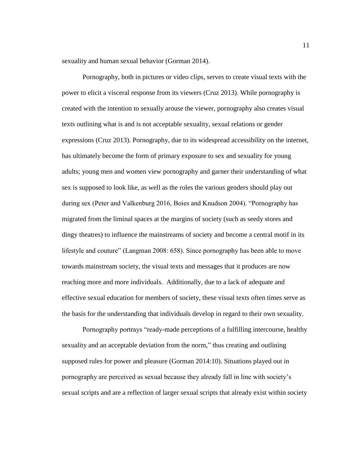sexuality and human sexual behavior (Gorman 2014).

Pornography, both in pictures or video clips, serves to create visual texts with the power to elicit a visceral response from its viewers (Cruz 2013). While pornography is created with the intention to sexually arouse the viewer, pornography also creates visual texts outlining what is and is not acceptable sexuality, sexual relations or gender expressions (Cruz 2013). Pornography, due to its widespread accessibility on the internet, has ultimately become the form of primary exposure to sex and sexuality for young adults; young men and women view pornography and garner their understanding of what sex is supposed to look like, as well as the roles the various genders should play out during sex (Peter and Valkenburg 2016, Boies and Knudson 2004). "Pornography has migrated from the liminal spaces at the margins of society (such as seedy stores and dingy theatres) to influence the mainstreams of society and become a central motif in its lifestyle and couture" (Langman 2008: 658). Since pornography has been able to move towards mainstream society, the visual texts and messages that it produces are now reaching more and more individuals. Additionally, due to a lack of adequate and effective sexual education for members of society, these visual texts often times serve as the basis for the understanding that individuals develop in regard to their own sexuality.

Pornography portrays "ready-made perceptions of a fulfilling intercourse, healthy sexuality and an acceptable deviation from the norm," thus creating and outlining supposed rules for power and pleasure (Gorman 2014:10). Situations played out in pornography are perceived as sexual because they already fall in line with society's sexual scripts and are a reflection of larger sexual scripts that already exist within society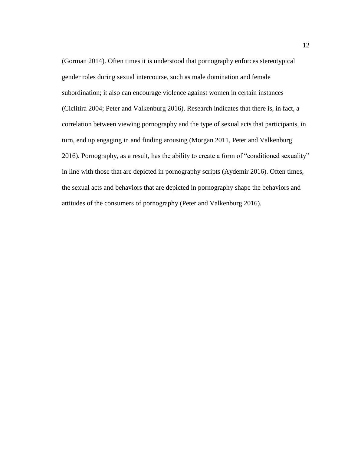(Gorman 2014). Often times it is understood that pornography enforces stereotypical gender roles during sexual intercourse, such as male domination and female subordination; it also can encourage violence against women in certain instances (Ciclitira 2004; Peter and Valkenburg 2016). Research indicates that there is, in fact, a correlation between viewing pornography and the type of sexual acts that participants, in turn, end up engaging in and finding arousing (Morgan 2011, Peter and Valkenburg 2016). Pornography, as a result, has the ability to create a form of "conditioned sexuality" in line with those that are depicted in pornography scripts (Aydemir 2016). Often times, the sexual acts and behaviors that are depicted in pornography shape the behaviors and attitudes of the consumers of pornography (Peter and Valkenburg 2016).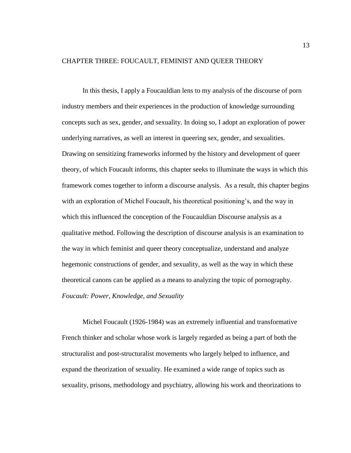## <span id="page-20-0"></span>CHAPTER THREE: FOUCAULT, FEMINIST AND QUEER THEORY

In this thesis, I apply a Foucauldian lens to my analysis of the discourse of porn industry members and their experiences in the production of knowledge surrounding concepts such as sex, gender, and sexuality. In doing so, I adopt an exploration of power underlying narratives, as well an interest in queering sex, gender, and sexualities. Drawing on sensitizing frameworks informed by the history and development of queer theory, of which Foucault informs, this chapter seeks to illuminate the ways in which this framework comes together to inform a discourse analysis. As a result, this chapter begins with an exploration of Michel Foucault, his theoretical positioning's, and the way in which this influenced the conception of the Foucauldian Discourse analysis as a qualitative method. Following the description of discourse analysis is an examination to the way in which feminist and queer theory conceptualize, understand and analyze hegemonic constructions of gender, and sexuality, as well as the way in which these theoretical canons can be applied as a means to analyzing the topic of pornography. *Foucault: Power, Knowledge, and Sexuality*

<span id="page-20-1"></span>Michel Foucault (1926-1984) was an extremely influential and transformative French thinker and scholar whose work is largely regarded as being a part of both the structuralist and post-structuralist movements who largely helped to influence, and expand the theorization of sexuality. He examined a wide range of topics such as sexuality, prisons, methodology and psychiatry, allowing his work and theorizations to

13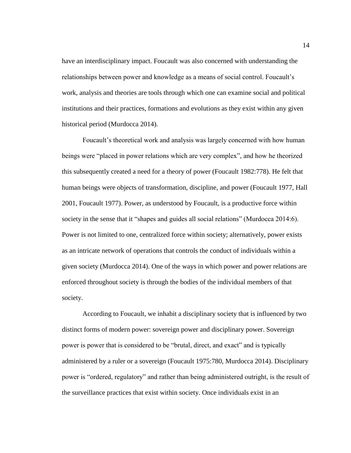have an interdisciplinary impact. Foucault was also concerned with understanding the relationships between power and knowledge as a means of social control. Foucault's work, analysis and theories are tools through which one can examine social and political institutions and their practices, formations and evolutions as they exist within any given historical period (Murdocca 2014).

Foucault's theoretical work and analysis was largely concerned with how human beings were "placed in power relations which are very complex", and how he theorized this subsequently created a need for a theory of power (Foucault 1982:778). He felt that human beings were objects of transformation, discipline, and power (Foucault 1977, Hall 2001, Foucault 1977). Power, as understood by Foucault, is a productive force within society in the sense that it "shapes and guides all social relations" (Murdocca 2014:6). Power is not limited to one, centralized force within society; alternatively, power exists as an intricate network of operations that controls the conduct of individuals within a given society (Murdocca 2014). One of the ways in which power and power relations are enforced throughout society is through the bodies of the individual members of that society.

According to Foucault, we inhabit a disciplinary society that is influenced by two distinct forms of modern power: sovereign power and disciplinary power. Sovereign power is power that is considered to be "brutal, direct, and exact" and is typically administered by a ruler or a sovereign (Foucault 1975:780, Murdocca 2014). Disciplinary power is "ordered, regulatory" and rather than being administered outright, is the result of the surveillance practices that exist within society. Once individuals exist in an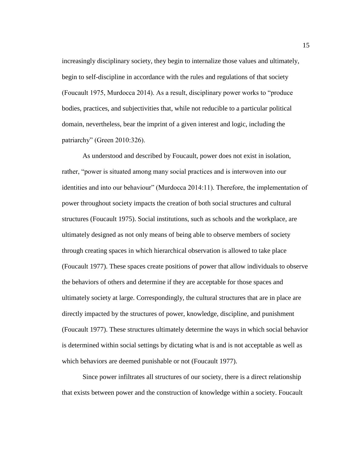increasingly disciplinary society, they begin to internalize those values and ultimately, begin to self-discipline in accordance with the rules and regulations of that society (Foucault 1975, Murdocca 2014). As a result, disciplinary power works to "produce bodies, practices, and subjectivities that, while not reducible to a particular political domain, nevertheless, bear the imprint of a given interest and logic, including the patriarchy" (Green 2010:326).

As understood and described by Foucault, power does not exist in isolation, rather, "power is situated among many social practices and is interwoven into our identities and into our behaviour" (Murdocca 2014:11). Therefore, the implementation of power throughout society impacts the creation of both social structures and cultural structures (Foucault 1975). Social institutions, such as schools and the workplace, are ultimately designed as not only means of being able to observe members of society through creating spaces in which hierarchical observation is allowed to take place (Foucault 1977). These spaces create positions of power that allow individuals to observe the behaviors of others and determine if they are acceptable for those spaces and ultimately society at large. Correspondingly, the cultural structures that are in place are directly impacted by the structures of power, knowledge, discipline, and punishment (Foucault 1977). These structures ultimately determine the ways in which social behavior is determined within social settings by dictating what is and is not acceptable as well as which behaviors are deemed punishable or not (Foucault 1977).

Since power infiltrates all structures of our society, there is a direct relationship that exists between power and the construction of knowledge within a society. Foucault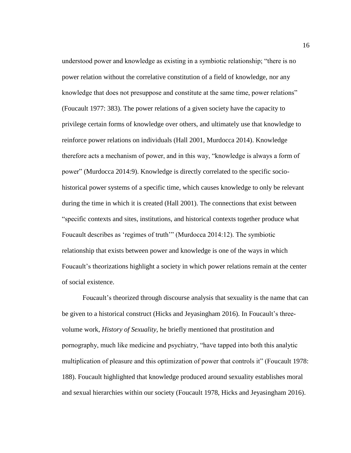understood power and knowledge as existing in a symbiotic relationship; "there is no power relation without the correlative constitution of a field of knowledge, nor any knowledge that does not presuppose and constitute at the same time, power relations" (Foucault 1977: 383). The power relations of a given society have the capacity to privilege certain forms of knowledge over others, and ultimately use that knowledge to reinforce power relations on individuals (Hall 2001, Murdocca 2014). Knowledge therefore acts a mechanism of power, and in this way, "knowledge is always a form of power" (Murdocca 2014:9). Knowledge is directly correlated to the specific sociohistorical power systems of a specific time, which causes knowledge to only be relevant during the time in which it is created (Hall 2001). The connections that exist between "specific contexts and sites, institutions, and historical contexts together produce what Foucault describes as 'regimes of truth'" (Murdocca 2014:12). The symbiotic relationship that exists between power and knowledge is one of the ways in which Foucault's theorizations highlight a society in which power relations remain at the center of social existence.

Foucault's theorized through discourse analysis that sexuality is the name that can be given to a historical construct (Hicks and Jeyasingham 2016). In Foucault's threevolume work, *History of Sexuality,* he briefly mentioned that prostitution and pornography, much like medicine and psychiatry, "have tapped into both this analytic multiplication of pleasure and this optimization of power that controls it" (Foucault 1978: 188). Foucault highlighted that knowledge produced around sexuality establishes moral and sexual hierarchies within our society (Foucault 1978, Hicks and Jeyasingham 2016).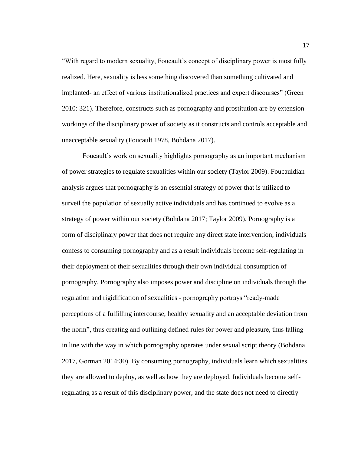"With regard to modern sexuality, Foucault's concept of disciplinary power is most fully realized. Here, sexuality is less something discovered than something cultivated and implanted- an effect of various institutionalized practices and expert discourses" (Green 2010: 321). Therefore, constructs such as pornography and prostitution are by extension workings of the disciplinary power of society as it constructs and controls acceptable and unacceptable sexuality (Foucault 1978, Bohdana 2017).

Foucault's work on sexuality highlights pornography as an important mechanism of power strategies to regulate sexualities within our society (Taylor 2009). Foucauldian analysis argues that pornography is an essential strategy of power that is utilized to surveil the population of sexually active individuals and has continued to evolve as a strategy of power within our society (Bohdana 2017; Taylor 2009). Pornography is a form of disciplinary power that does not require any direct state intervention; individuals confess to consuming pornography and as a result individuals become self-regulating in their deployment of their sexualities through their own individual consumption of pornography. Pornography also imposes power and discipline on individuals through the regulation and rigidification of sexualities - pornography portrays "ready-made perceptions of a fulfilling intercourse, healthy sexuality and an acceptable deviation from the norm", thus creating and outlining defined rules for power and pleasure, thus falling in line with the way in which pornography operates under sexual script theory (Bohdana 2017, Gorman 2014:30). By consuming pornography, individuals learn which sexualities they are allowed to deploy, as well as how they are deployed. Individuals become selfregulating as a result of this disciplinary power, and the state does not need to directly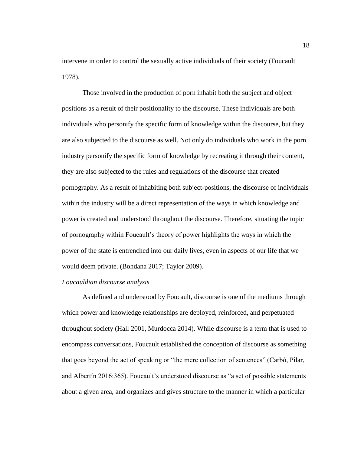intervene in order to control the sexually active individuals of their society (Foucault 1978).

Those involved in the production of porn inhabit both the subject and object positions as a result of their positionality to the discourse. These individuals are both individuals who personify the specific form of knowledge within the discourse, but they are also subjected to the discourse as well. Not only do individuals who work in the porn industry personify the specific form of knowledge by recreating it through their content, they are also subjected to the rules and regulations of the discourse that created pornography. As a result of inhabiting both subject-positions, the discourse of individuals within the industry will be a direct representation of the ways in which knowledge and power is created and understood throughout the discourse. Therefore, situating the topic of pornography within Foucault's theory of power highlights the ways in which the power of the state is entrenched into our daily lives, even in aspects of our life that we would deem private. (Bohdana 2017; Taylor 2009).

#### <span id="page-25-0"></span>*Foucauldian discourse analysis*

As defined and understood by Foucault, discourse is one of the mediums through which power and knowledge relationships are deployed, reinforced, and perpetuated throughout society (Hall 2001, Murdocca 2014). While discourse is a term that is used to encompass conversations, Foucault established the conception of discourse as something that goes beyond the act of speaking or "the mere collection of sentences" (Carbó, Pilar, and Albertín 2016:365). Foucault's understood discourse as "a set of possible statements about a given area, and organizes and gives structure to the manner in which a particular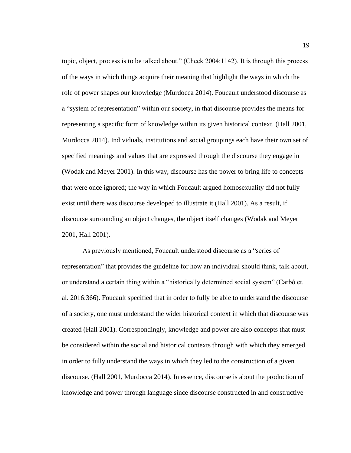topic, object, process is to be talked about." (Cheek 2004:1142). It is through this process of the ways in which things acquire their meaning that highlight the ways in which the role of power shapes our knowledge (Murdocca 2014). Foucault understood discourse as a "system of representation" within our society, in that discourse provides the means for representing a specific form of knowledge within its given historical context. (Hall 2001, Murdocca 2014). Individuals, institutions and social groupings each have their own set of specified meanings and values that are expressed through the discourse they engage in (Wodak and Meyer 2001). In this way, discourse has the power to bring life to concepts that were once ignored; the way in which Foucault argued homosexuality did not fully exist until there was discourse developed to illustrate it (Hall 2001). As a result, if discourse surrounding an object changes, the object itself changes (Wodak and Meyer 2001, Hall 2001).

As previously mentioned, Foucault understood discourse as a "series of representation" that provides the guideline for how an individual should think, talk about, or understand a certain thing within a "historically determined social system" (Carbó et. al. 2016:366). Foucault specified that in order to fully be able to understand the discourse of a society, one must understand the wider historical context in which that discourse was created (Hall 2001). Correspondingly, knowledge and power are also concepts that must be considered within the social and historical contexts through with which they emerged in order to fully understand the ways in which they led to the construction of a given discourse. (Hall 2001, Murdocca 2014). In essence, discourse is about the production of knowledge and power through language since discourse constructed in and constructive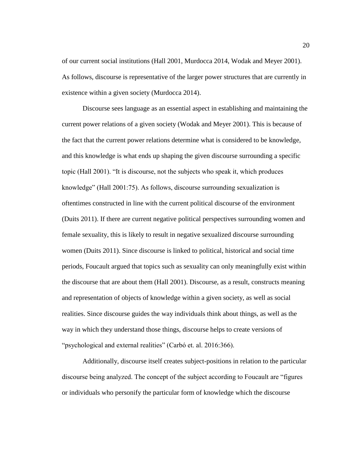of our current social institutions (Hall 2001, Murdocca 2014, Wodak and Meyer 2001). As follows, discourse is representative of the larger power structures that are currently in existence within a given society (Murdocca 2014).

Discourse sees language as an essential aspect in establishing and maintaining the current power relations of a given society (Wodak and Meyer 2001). This is because of the fact that the current power relations determine what is considered to be knowledge, and this knowledge is what ends up shaping the given discourse surrounding a specific topic (Hall 2001). "It is discourse, not the subjects who speak it, which produces knowledge" (Hall 2001:75). As follows, discourse surrounding sexualization is oftentimes constructed in line with the current political discourse of the environment (Duits 2011). If there are current negative political perspectives surrounding women and female sexuality, this is likely to result in negative sexualized discourse surrounding women (Duits 2011). Since discourse is linked to political, historical and social time periods, Foucault argued that topics such as sexuality can only meaningfully exist within the discourse that are about them (Hall 2001). Discourse, as a result, constructs meaning and representation of objects of knowledge within a given society, as well as social realities. Since discourse guides the way individuals think about things, as well as the way in which they understand those things, discourse helps to create versions of "psychological and external realities" (Carbó et. al. 2016:366).

Additionally, discourse itself creates subject-positions in relation to the particular discourse being analyzed. The concept of the subject according to Foucault are "figures or individuals who personify the particular form of knowledge which the discourse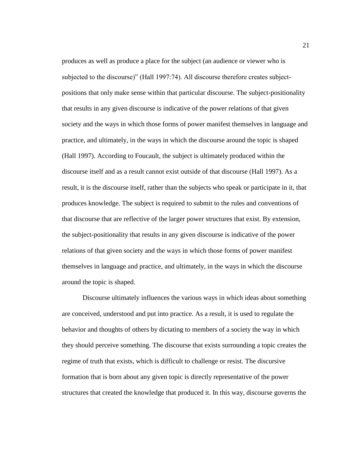produces as well as produce a place for the subject (an audience or viewer who is subjected to the discourse)" (Hall 1997:74). All discourse therefore creates subjectpositions that only make sense within that particular discourse. The subject-positionality that results in any given discourse is indicative of the power relations of that given society and the ways in which those forms of power manifest themselves in language and practice, and ultimately, in the ways in which the discourse around the topic is shaped (Hall 1997). According to Foucault, the subject is ultimately produced within the discourse itself and as a result cannot exist outside of that discourse (Hall 1997). As a result, it is the discourse itself, rather than the subjects who speak or participate in it, that produces knowledge. The subject is required to submit to the rules and conventions of that discourse that are reflective of the larger power structures that exist. By extension, the subject-positionality that results in any given discourse is indicative of the power relations of that given society and the ways in which those forms of power manifest themselves in language and practice, and ultimately, in the ways in which the discourse around the topic is shaped.

Discourse ultimately influences the various ways in which ideas about something are conceived, understood and put into practice. As a result, it is used to regulate the behavior and thoughts of others by dictating to members of a society the way in which they should perceive something. The discourse that exists surrounding a topic creates the regime of truth that exists, which is difficult to challenge or resist. The discursive formation that is born about any given topic is directly representative of the power structures that created the knowledge that produced it. In this way, discourse governs the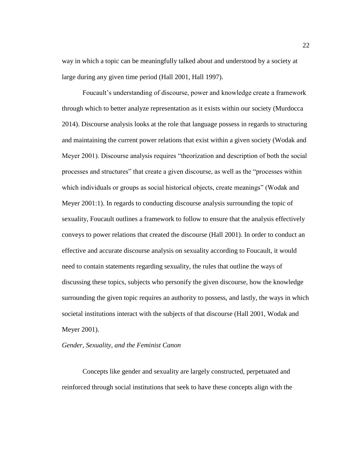way in which a topic can be meaningfully talked about and understood by a society at large during any given time period (Hall 2001, Hall 1997).

Foucault's understanding of discourse, power and knowledge create a framework through which to better analyze representation as it exists within our society (Murdocca 2014). Discourse analysis looks at the role that language possess in regards to structuring and maintaining the current power relations that exist within a given society (Wodak and Meyer 2001). Discourse analysis requires "theorization and description of both the social processes and structures" that create a given discourse, as well as the "processes within which individuals or groups as social historical objects, create meanings" (Wodak and Meyer 2001:1). In regards to conducting discourse analysis surrounding the topic of sexuality, Foucault outlines a framework to follow to ensure that the analysis effectively conveys to power relations that created the discourse (Hall 2001). In order to conduct an effective and accurate discourse analysis on sexuality according to Foucault, it would need to contain statements regarding sexuality, the rules that outline the ways of discussing these topics, subjects who personify the given discourse, how the knowledge surrounding the given topic requires an authority to possess, and lastly, the ways in which societal institutions interact with the subjects of that discourse (Hall 2001, Wodak and Meyer 2001).

#### <span id="page-29-0"></span>*Gender, Sexuality, and the Feminist Canon*

Concepts like gender and sexuality are largely constructed, perpetuated and reinforced through social institutions that seek to have these concepts align with the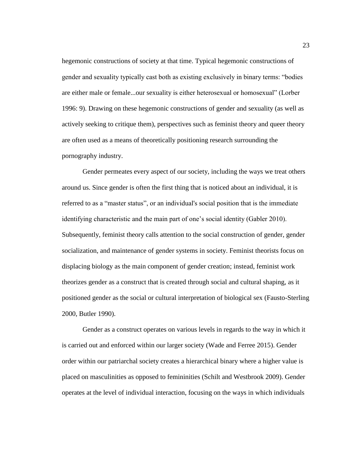hegemonic constructions of society at that time. Typical hegemonic constructions of gender and sexuality typically cast both as existing exclusively in binary terms: "bodies are either male or female...our sexuality is either heterosexual or homosexual" (Lorber 1996: 9). Drawing on these hegemonic constructions of gender and sexuality (as well as actively seeking to critique them), perspectives such as feminist theory and queer theory are often used as a means of theoretically positioning research surrounding the pornography industry.

Gender permeates every aspect of our society, including the ways we treat others around us. Since gender is often the first thing that is noticed about an individual, it is referred to as a "master status", or an individual's social position that is the immediate identifying characteristic and the main part of one's social identity (Gabler 2010). Subsequently, feminist theory calls attention to the social construction of gender, gender socialization, and maintenance of gender systems in society. Feminist theorists focus on displacing biology as the main component of gender creation; instead, feminist work theorizes gender as a construct that is created through social and cultural shaping, as it positioned gender as the social or cultural interpretation of biological sex (Fausto-Sterling 2000, Butler 1990).

Gender as a construct operates on various levels in regards to the way in which it is carried out and enforced within our larger society (Wade and Ferree 2015). Gender order within our patriarchal society creates a hierarchical binary where a higher value is placed on masculinities as opposed to femininities (Schilt and Westbrook 2009). Gender operates at the level of individual interaction, focusing on the ways in which individuals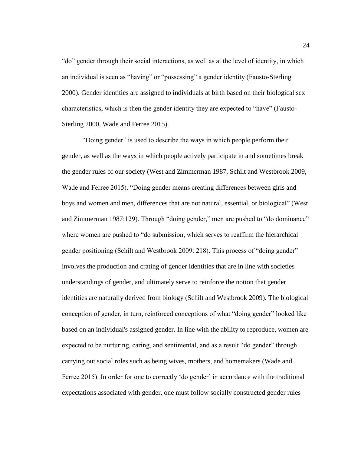"do" gender through their social interactions, as well as at the level of identity, in which an individual is seen as "having" or "possessing" a gender identity (Fausto-Sterling 2000). Gender identities are assigned to individuals at birth based on their biological sex characteristics, which is then the gender identity they are expected to "have" (Fausto-Sterling 2000, Wade and Ferree 2015).

"Doing gender" is used to describe the ways in which people perform their gender, as well as the ways in which people actively participate in and sometimes break the gender rules of our society (West and Zimmerman 1987, Schilt and Westbrook 2009, Wade and Ferree 2015). "Doing gender means creating differences between girls and boys and women and men, differences that are not natural, essential, or biological" (West and Zimmerman 1987:129). Through "doing gender," men are pushed to "do dominance" where women are pushed to "do submission, which serves to reaffirm the hierarchical gender positioning (Schilt and Westbrook 2009: 218). This process of "doing gender" involves the production and crating of gender identities that are in line with societies understandings of gender, and ultimately serve to reinforce the notion that gender identities are naturally derived from biology (Schilt and Westbrook 2009). The biological conception of gender, in turn, reinforced conceptions of what "doing gender" looked like based on an individual's assigned gender. In line with the ability to reproduce, women are expected to be nurturing, caring, and sentimental, and as a result "do gender" through carrying out social roles such as being wives, mothers, and homemakers (Wade and Ferree 2015). In order for one to correctly 'do gender' in accordance with the traditional expectations associated with gender, one must follow socially constructed gender rules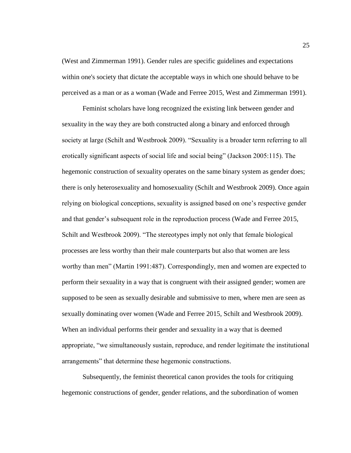(West and Zimmerman 1991). Gender rules are specific guidelines and expectations within one's society that dictate the acceptable ways in which one should behave to be perceived as a man or as a woman (Wade and Ferree 2015, West and Zimmerman 1991).

Feminist scholars have long recognized the existing link between gender and sexuality in the way they are both constructed along a binary and enforced through society at large (Schilt and Westbrook 2009). "Sexuality is a broader term referring to all erotically significant aspects of social life and social being" (Jackson 2005:115). The hegemonic construction of sexuality operates on the same binary system as gender does; there is only heterosexuality and homosexuality (Schilt and Westbrook 2009). Once again relying on biological conceptions, sexuality is assigned based on one's respective gender and that gender's subsequent role in the reproduction process (Wade and Ferree 2015, Schilt and Westbrook 2009). "The stereotypes imply not only that female biological processes are less worthy than their male counterparts but also that women are less worthy than men" (Martin 1991:487). Correspondingly, men and women are expected to perform their sexuality in a way that is congruent with their assigned gender; women are supposed to be seen as sexually desirable and submissive to men, where men are seen as sexually dominating over women (Wade and Ferree 2015, Schilt and Westbrook 2009). When an individual performs their gender and sexuality in a way that is deemed appropriate, "we simultaneously sustain, reproduce, and render legitimate the institutional arrangements" that determine these hegemonic constructions.

Subsequently, the feminist theoretical canon provides the tools for critiquing hegemonic constructions of gender, gender relations, and the subordination of women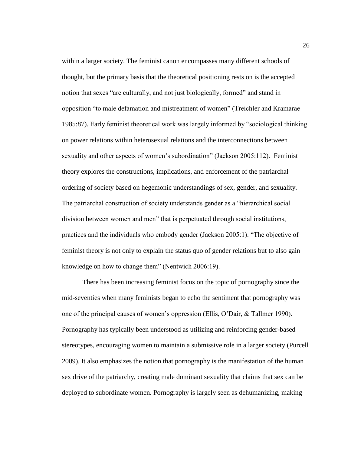within a larger society. The feminist canon encompasses many different schools of thought, but the primary basis that the theoretical positioning rests on is the accepted notion that sexes "are culturally, and not just biologically, formed" and stand in opposition "to male defamation and mistreatment of women" (Treichler and Kramarae 1985:87). Early feminist theoretical work was largely informed by "sociological thinking on power relations within heterosexual relations and the interconnections between sexuality and other aspects of women's subordination" (Jackson 2005:112). Feminist theory explores the constructions, implications, and enforcement of the patriarchal ordering of society based on hegemonic understandings of sex, gender, and sexuality. The patriarchal construction of society understands gender as a "hierarchical social division between women and men" that is perpetuated through social institutions, practices and the individuals who embody gender (Jackson 2005:1). "The objective of feminist theory is not only to explain the status quo of gender relations but to also gain knowledge on how to change them" (Nentwich 2006:19).

There has been increasing feminist focus on the topic of pornography since the mid-seventies when many feminists began to echo the sentiment that pornography was one of the principal causes of women's oppression (Ellis, O'Dair, & Tallmer 1990). Pornography has typically been understood as utilizing and reinforcing gender-based stereotypes, encouraging women to maintain a submissive role in a larger society (Purcell 2009). It also emphasizes the notion that pornography is the manifestation of the human sex drive of the patriarchy, creating male dominant sexuality that claims that sex can be deployed to subordinate women. Pornography is largely seen as dehumanizing, making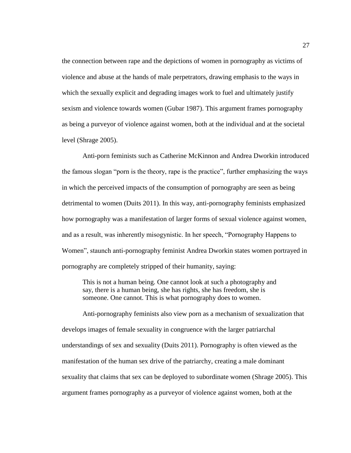the connection between rape and the depictions of women in pornography as victims of violence and abuse at the hands of male perpetrators, drawing emphasis to the ways in which the sexually explicit and degrading images work to fuel and ultimately justify sexism and violence towards women (Gubar 1987). This argument frames pornography as being a purveyor of violence against women, both at the individual and at the societal level (Shrage 2005).

Anti-porn feminists such as Catherine McKinnon and Andrea Dworkin introduced the famous slogan "porn is the theory, rape is the practice", further emphasizing the ways in which the perceived impacts of the consumption of pornography are seen as being detrimental to women (Duits 2011). In this way, anti-pornography feminists emphasized how pornography was a manifestation of larger forms of sexual violence against women, and as a result, was inherently misogynistic. In her speech, "Pornography Happens to Women", staunch anti-pornography feminist Andrea Dworkin states women portrayed in pornography are completely stripped of their humanity, saying:

This is not a human being. One cannot look at such a photography and say, there is a human being, she has rights, she has freedom, she is someone. One cannot. This is what pornography does to women.

Anti-pornography feminists also view porn as a mechanism of sexualization that develops images of female sexuality in congruence with the larger patriarchal understandings of sex and sexuality (Duits 2011). Pornography is often viewed as the manifestation of the human sex drive of the patriarchy, creating a male dominant sexuality that claims that sex can be deployed to subordinate women (Shrage 2005). This argument frames pornography as a purveyor of violence against women, both at the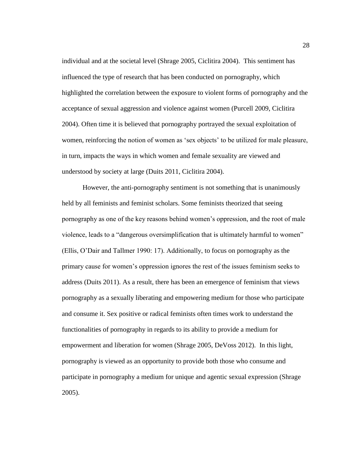individual and at the societal level (Shrage 2005, Ciclitira 2004). This sentiment has influenced the type of research that has been conducted on pornography, which highlighted the correlation between the exposure to violent forms of pornography and the acceptance of sexual aggression and violence against women (Purcell 2009, Ciclitira 2004). Often time it is believed that pornography portrayed the sexual exploitation of women, reinforcing the notion of women as 'sex objects' to be utilized for male pleasure, in turn, impacts the ways in which women and female sexuality are viewed and understood by society at large (Duits 2011, Ciclitira 2004).

However, the anti-pornography sentiment is not something that is unanimously held by all feminists and feminist scholars. Some feminists theorized that seeing pornography as one of the key reasons behind women's oppression, and the root of male violence, leads to a "dangerous oversimplification that is ultimately harmful to women" (Ellis, O'Dair and Tallmer 1990: 17). Additionally, to focus on pornography as the primary cause for women's oppression ignores the rest of the issues feminism seeks to address (Duits 2011). As a result, there has been an emergence of feminism that views pornography as a sexually liberating and empowering medium for those who participate and consume it. Sex positive or radical feminists often times work to understand the functionalities of pornography in regards to its ability to provide a medium for empowerment and liberation for women (Shrage 2005, DeVoss 2012). In this light, pornography is viewed as an opportunity to provide both those who consume and participate in pornography a medium for unique and agentic sexual expression (Shrage 2005).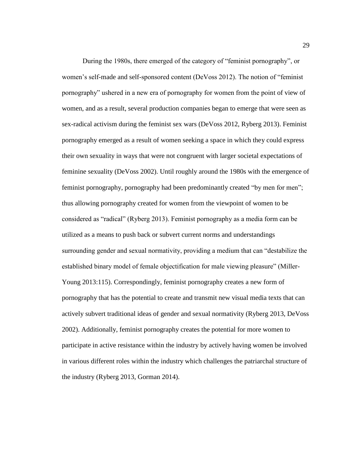During the 1980s, there emerged of the category of "feminist pornography", or women's self-made and self-sponsored content (DeVoss 2012). The notion of "feminist pornography" ushered in a new era of pornography for women from the point of view of women, and as a result, several production companies began to emerge that were seen as sex-radical activism during the feminist sex wars (DeVoss 2012, Ryberg 2013). Feminist pornography emerged as a result of women seeking a space in which they could express their own sexuality in ways that were not congruent with larger societal expectations of feminine sexuality (DeVoss 2002). Until roughly around the 1980s with the emergence of feminist pornography, pornography had been predominantly created "by men for men"; thus allowing pornography created for women from the viewpoint of women to be considered as "radical" (Ryberg 2013). Feminist pornography as a media form can be utilized as a means to push back or subvert current norms and understandings surrounding gender and sexual normativity, providing a medium that can "destabilize the established binary model of female objectification for male viewing pleasure" (Miller-Young 2013:115). Correspondingly, feminist pornography creates a new form of pornography that has the potential to create and transmit new visual media texts that can actively subvert traditional ideas of gender and sexual normativity (Ryberg 2013, DeVoss 2002). Additionally, feminist pornography creates the potential for more women to participate in active resistance within the industry by actively having women be involved in various different roles within the industry which challenges the patriarchal structure of the industry (Ryberg 2013, Gorman 2014).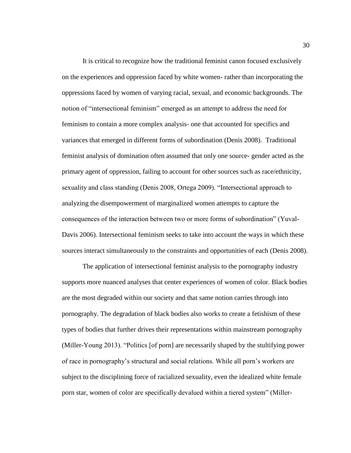It is critical to recognize how the traditional feminist canon focused exclusively on the experiences and oppression faced by white women- rather than incorporating the oppressions faced by women of varying racial, sexual, and economic backgrounds. The notion of "intersectional feminism" emerged as an attempt to address the need for feminism to contain a more complex analysis- one that accounted for specifics and variances that emerged in different forms of subordination (Denis 2008). Traditional feminist analysis of domination often assumed that only one source- gender acted as the primary agent of oppression, failing to account for other sources such as race/ethnicity, sexuality and class standing (Denis 2008, Ortega 2009). "Intersectional approach to analyzing the disempowerment of marginalized women attempts to capture the consequences of the interaction between two or more forms of subordination" (Yuval-Davis 2006). Intersectional feminism seeks to take into account the ways in which these sources interact simultaneously to the constraints and opportunities of each (Denis 2008).

The application of intersectional feminist analysis to the pornography industry supports more nuanced analyses that center experiences of women of color. Black bodies are the most degraded within our society and that same notion carries through into pornography. The degradation of black bodies also works to create a fetishism of these types of bodies that further drives their representations within mainstream pornography (Miller-Young 2013). "Politics [of porn] are necessarily shaped by the stultifying power of race in pornography's structural and social relations. While all porn's workers are subject to the disciplining force of racialized sexuality, even the idealized white female porn star, women of color are specifically devalued within a tiered system" (Miller-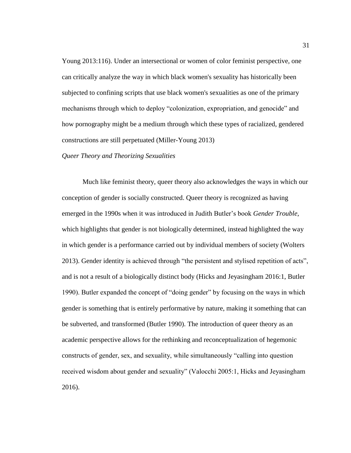Young 2013:116). Under an intersectional or women of color feminist perspective, one can critically analyze the way in which black women's sexuality has historically been subjected to confining scripts that use black women's sexualities as one of the primary mechanisms through which to deploy "colonization, expropriation, and genocide" and how pornography might be a medium through which these types of racialized, gendered constructions are still perpetuated (Miller-Young 2013)

#### *Queer Theory and Theorizing Sexualities*

Much like feminist theory, queer theory also acknowledges the ways in which our conception of gender is socially constructed. Queer theory is recognized as having emerged in the 1990s when it was introduced in Judith Butler's book *Gender Trouble*, which highlights that gender is not biologically determined, instead highlighted the way in which gender is a performance carried out by individual members of society (Wolters 2013). Gender identity is achieved through "the persistent and stylised repetition of acts", and is not a result of a biologically distinct body (Hicks and Jeyasingham 2016:1, Butler 1990). Butler expanded the concept of "doing gender" by focusing on the ways in which gender is something that is entirely performative by nature, making it something that can be subverted, and transformed (Butler 1990). The introduction of queer theory as an academic perspective allows for the rethinking and reconceptualization of hegemonic constructs of gender, sex, and sexuality, while simultaneously "calling into question received wisdom about gender and sexuality" (Valocchi 2005:1, Hicks and Jeyasingham 2016).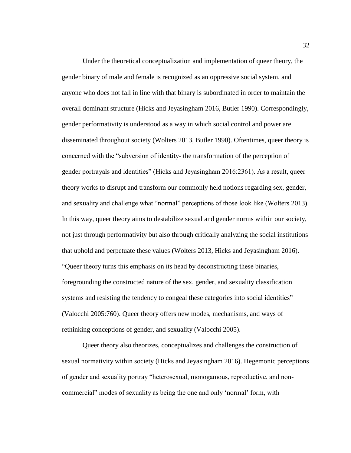Under the theoretical conceptualization and implementation of queer theory, the gender binary of male and female is recognized as an oppressive social system, and anyone who does not fall in line with that binary is subordinated in order to maintain the overall dominant structure (Hicks and Jeyasingham 2016, Butler 1990). Correspondingly, gender performativity is understood as a way in which social control and power are disseminated throughout society (Wolters 2013, Butler 1990). Oftentimes, queer theory is concerned with the "subversion of identity- the transformation of the perception of gender portrayals and identities" (Hicks and Jeyasingham 2016:2361). As a result, queer theory works to disrupt and transform our commonly held notions regarding sex, gender, and sexuality and challenge what "normal" perceptions of those look like (Wolters 2013). In this way, queer theory aims to destabilize sexual and gender norms within our society, not just through performativity but also through critically analyzing the social institutions that uphold and perpetuate these values (Wolters 2013, Hicks and Jeyasingham 2016). "Queer theory turns this emphasis on its head by deconstructing these binaries, foregrounding the constructed nature of the sex, gender, and sexuality classification systems and resisting the tendency to congeal these categories into social identities" (Valocchi 2005:760). Queer theory offers new modes, mechanisms, and ways of rethinking conceptions of gender, and sexuality (Valocchi 2005).

Queer theory also theorizes, conceptualizes and challenges the construction of sexual normativity within society (Hicks and Jeyasingham 2016). Hegemonic perceptions of gender and sexuality portray "heterosexual, monogamous, reproductive, and noncommercial" modes of sexuality as being the one and only 'normal' form, with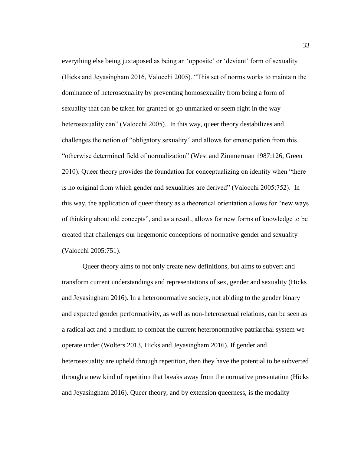everything else being juxtaposed as being an 'opposite' or 'deviant' form of sexuality (Hicks and Jeyasingham 2016, Valocchi 2005). "This set of norms works to maintain the dominance of heterosexuality by preventing homosexuality from being a form of sexuality that can be taken for granted or go unmarked or seem right in the way heterosexuality can" (Valocchi 2005). In this way, queer theory destabilizes and challenges the notion of "obligatory sexuality" and allows for emancipation from this "otherwise determined field of normalization" (West and Zimmerman 1987:126, Green 2010). Queer theory provides the foundation for conceptualizing on identity when "there is no original from which gender and sexualities are derived" (Valocchi 2005:752). In this way, the application of queer theory as a theoretical orientation allows for "new ways of thinking about old concepts", and as a result, allows for new forms of knowledge to be created that challenges our hegemonic conceptions of normative gender and sexuality (Valocchi 2005:751).

Queer theory aims to not only create new definitions, but aims to subvert and transform current understandings and representations of sex, gender and sexuality (Hicks and Jeyasingham 2016). In a heteronormative society, not abiding to the gender binary and expected gender performativity, as well as non-heterosexual relations, can be seen as a radical act and a medium to combat the current heteronormative patriarchal system we operate under (Wolters 2013, Hicks and Jeyasingham 2016). If gender and heterosexuality are upheld through repetition, then they have the potential to be subverted through a new kind of repetition that breaks away from the normative presentation (Hicks and Jeyasingham 2016). Queer theory, and by extension queerness, is the modality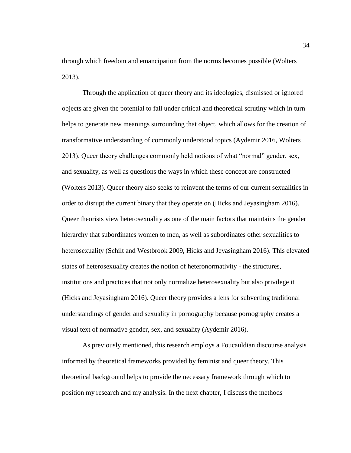through which freedom and emancipation from the norms becomes possible (Wolters 2013).

Through the application of queer theory and its ideologies, dismissed or ignored objects are given the potential to fall under critical and theoretical scrutiny which in turn helps to generate new meanings surrounding that object, which allows for the creation of transformative understanding of commonly understood topics (Aydemir 2016, Wolters 2013). Queer theory challenges commonly held notions of what "normal" gender, sex, and sexuality, as well as questions the ways in which these concept are constructed (Wolters 2013). Queer theory also seeks to reinvent the terms of our current sexualities in order to disrupt the current binary that they operate on (Hicks and Jeyasingham 2016). Queer theorists view heterosexuality as one of the main factors that maintains the gender hierarchy that subordinates women to men, as well as subordinates other sexualities to heterosexuality (Schilt and Westbrook 2009, Hicks and Jeyasingham 2016). This elevated states of heterosexuality creates the notion of heteronormativity - the structures, institutions and practices that not only normalize heterosexuality but also privilege it (Hicks and Jeyasingham 2016). Queer theory provides a lens for subverting traditional understandings of gender and sexuality in pornography because pornography creates a visual text of normative gender, sex, and sexuality (Aydemir 2016).

As previously mentioned, this research employs a Foucauldian discourse analysis informed by theoretical frameworks provided by feminist and queer theory. This theoretical background helps to provide the necessary framework through which to position my research and my analysis. In the next chapter, I discuss the methods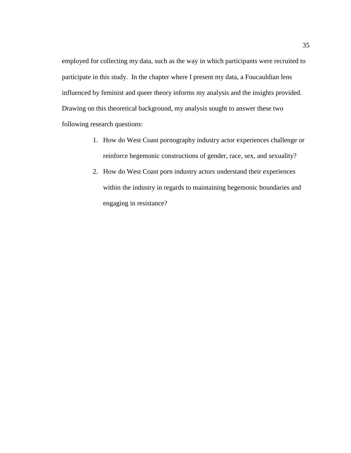employed for collecting my data, such as the way in which participants were recruited to participate in this study. In the chapter where I present my data, a Foucauldian lens influenced by feminist and queer theory informs my analysis and the insights provided. Drawing on this theoretical background, my analysis sought to answer these two following research questions:

- 1. How do West Coast pornography industry actor experiences challenge or reinforce hegemonic constructions of gender, race, sex, and sexuality?
- 2. How do West Coast porn industry actors understand their experiences within the industry in regards to maintaining hegemonic boundaries and engaging in resistance?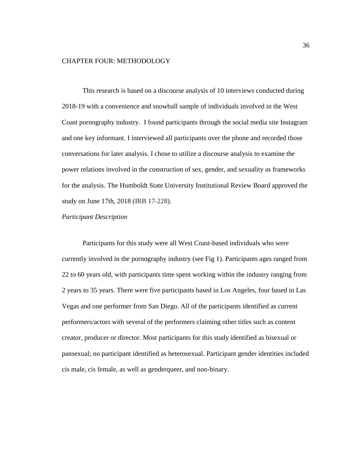#### CHAPTER FOUR: METHODOLOGY

This research is based on a discourse analysis of 10 interviews conducted during 2018-19 with a convenience and snowball sample of individuals involved in the West Coast pornography industry. I found participants through the social media site Instagram and one key informant. I interviewed all participants over the phone and recorded those conversations for later analysis. I chose to utilize a discourse analysis to examine the power relations involved in the construction of sex, gender, and sexuality as frameworks for the analysis. The Humboldt State University Institutional Review Board approved the study on June 17th, 2018 (IRB 17-228).

## *Participant Description*

Participants for this study were all West Coast-based individuals who were currently involved in the pornography industry (see Fig 1). Participants ages ranged from 22 to 60 years old, with participants time spent working within the industry ranging from 2 years to 35 years. There were five participants based in Los Angeles, four based in Las Vegas and one performer from San Diego. All of the participants identified as current performers/actors with several of the performers claiming other titles such as content creator, producer or director. Most participants for this study identified as bisexual or pansexual; no participant identified as heterosexual. Participant gender identities included cis male, cis female, as well as genderqueer, and non-binary.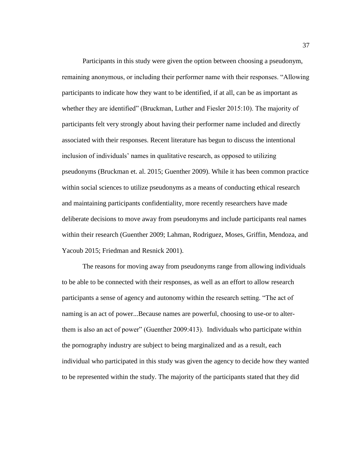Participants in this study were given the option between choosing a pseudonym, remaining anonymous, or including their performer name with their responses. "Allowing participants to indicate how they want to be identified, if at all, can be as important as whether they are identified" (Bruckman, Luther and Fiesler 2015:10). The majority of participants felt very strongly about having their performer name included and directly associated with their responses. Recent literature has begun to discuss the intentional inclusion of individuals' names in qualitative research, as opposed to utilizing pseudonyms (Bruckman et. al. 2015; Guenther 2009). While it has been common practice within social sciences to utilize pseudonyms as a means of conducting ethical research and maintaining participants confidentiality, more recently researchers have made deliberate decisions to move away from pseudonyms and include participants real names within their research (Guenther 2009; Lahman, Rodriguez, Moses, Griffin, Mendoza, and Yacoub 2015; Friedman and Resnick 2001).

The reasons for moving away from pseudonyms range from allowing individuals to be able to be connected with their responses, as well as an effort to allow research participants a sense of agency and autonomy within the research setting. "The act of naming is an act of power...Because names are powerful, choosing to use-or to alterthem is also an act of power" (Guenther 2009:413). Individuals who participate within the pornography industry are subject to being marginalized and as a result, each individual who participated in this study was given the agency to decide how they wanted to be represented within the study. The majority of the participants stated that they did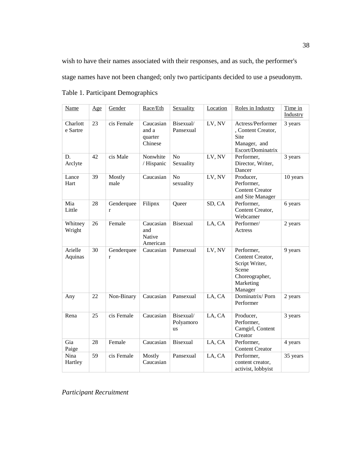wish to have their names associated with their responses, and as such, the performer's stage names have not been changed; only two participants decided to use a pseudonym.

| Name                 | Age | Gender                     | Race/Eth                                 | Sexuality                           | Location | Roles in Industry                                                                                   | Time in<br>Industry |
|----------------------|-----|----------------------------|------------------------------------------|-------------------------------------|----------|-----------------------------------------------------------------------------------------------------|---------------------|
| Charlott<br>e Sartre | 23  | cis Female                 | Caucasian<br>and a<br>quarter<br>Chinese | Bisexual/<br>Pansexual              | LV, NV   | Actress/Performer<br>, Content Creator,<br>Site<br>Manager, and<br>Escort/Dominatrix                | 3 years             |
| D.<br>Arclyte        | 42  | cis Male                   | Nonwhite<br>/ Hispanic                   | N <sub>o</sub><br>Sexuality         | LV, NV   | Performer,<br>Director, Writer,<br>Dancer                                                           | 3 years             |
| Lance<br>Hart        | 39  | Mostly<br>male             | Caucasian                                | No<br>sexuality                     | LV, NV   | Producer,<br>Performer,<br><b>Content Creator</b><br>and Site Manager                               | 10 years            |
| Mia<br>Little        | 28  | Genderquee<br>$\mathbf{r}$ | Filipnx                                  | Queer                               | SD, CA   | Performer,<br>Content Creator,<br>Webcamer                                                          | 6 years             |
| Whitney<br>Wright    | 26  | Female                     | Caucasian<br>and<br>Native<br>American   | <b>Bisexual</b>                     | LA, CA   | Performer/<br>Actress                                                                               | 2 years             |
| Arielle<br>Aquinas   | 30  | Genderquee<br>$\mathbf{r}$ | Caucasian                                | Pansexual                           | LV, NV   | Performer,<br>Content Creator,<br>Script Writer,<br>Scene<br>Choreographer,<br>Marketing<br>Manager | 9 years             |
| Any                  | 22  | Non-Binary                 | Caucasian                                | Pansexual                           | LA, CA   | Dominatrix/Porn<br>Performer                                                                        | 2 years             |
| Rena                 | 25  | cis Female                 | Caucasian                                | Bisexual/<br>Polyamoro<br><b>us</b> | LA, CA   | Producer,<br>Performer,<br>Camgirl, Content<br>Creator                                              | 3 years             |
| Gia<br>Paige         | 28  | Female                     | Caucasian                                | <b>Bisexual</b>                     | LA, CA   | Performer,<br><b>Content Creator</b>                                                                | 4 years             |
| Nina<br>Hartley      | 59  | cis Female                 | Mostly<br>Caucasian                      | Pansexual                           | LA, CA   | Performer,<br>content creator,<br>activist, lobbyist                                                | 35 years            |

Table 1. Participant Demographics

*Participant Recruitment*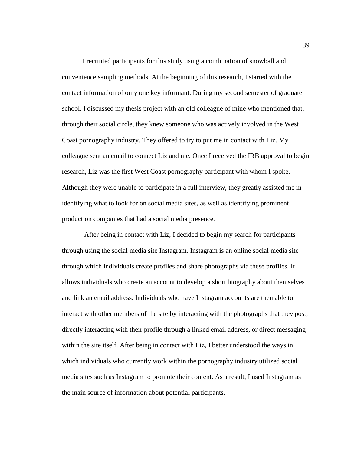I recruited participants for this study using a combination of snowball and convenience sampling methods. At the beginning of this research, I started with the contact information of only one key informant. During my second semester of graduate school, I discussed my thesis project with an old colleague of mine who mentioned that, through their social circle, they knew someone who was actively involved in the West Coast pornography industry. They offered to try to put me in contact with Liz. My colleague sent an email to connect Liz and me. Once I received the IRB approval to begin research, Liz was the first West Coast pornography participant with whom I spoke. Although they were unable to participate in a full interview, they greatly assisted me in identifying what to look for on social media sites, as well as identifying prominent production companies that had a social media presence.

After being in contact with Liz, I decided to begin my search for participants through using the social media site Instagram. Instagram is an online social media site through which individuals create profiles and share photographs via these profiles. It allows individuals who create an account to develop a short biography about themselves and link an email address. Individuals who have Instagram accounts are then able to interact with other members of the site by interacting with the photographs that they post, directly interacting with their profile through a linked email address, or direct messaging within the site itself. After being in contact with Liz, I better understood the ways in which individuals who currently work within the pornography industry utilized social media sites such as Instagram to promote their content. As a result, I used Instagram as the main source of information about potential participants.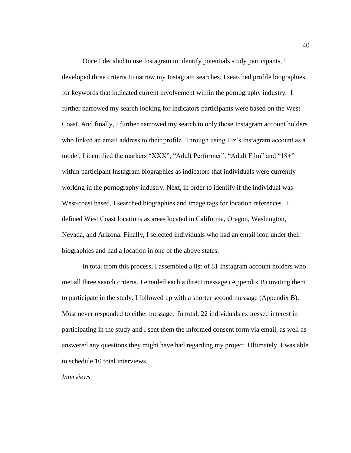Once I decided to use Instagram to identify potentials study participants, I developed three criteria to narrow my Instagram searches. I searched profile biographies for keywords that indicated current involvement within the pornography industry. I further narrowed my search looking for indicators participants were based on the West Coast. And finally, I further narrowed my search to only those Instagram account holders who linked an email address to their profile. Through using Liz's Instagram account as a model, I identified the markers "XXX", "Adult Performer", "Adult Film" and "18+" within participant Instagram biographies as indicators that individuals were currently working in the pornography industry. Next, in order to identify if the individual was West-coast based, I searched biographies and image tags for location references. I defined West Coast locations as areas located in California, Oregon, Washington, Nevada, and Arizona. Finally, I selected individuals who had an email icon under their biographies and had a location in one of the above states.

In total from this process, I assembled a list of 81 Instagram account holders who met all three search criteria. I emailed each a direct message (Appendix B) inviting them to participate in the study. I followed up with a shorter second message (Appendix B). Most never responded to either message. In total, 22 individuals expressed interest in participating in the study and I sent them the informed consent form via email, as well as answered any questions they might have had regarding my project. Ultimately, I was able to schedule 10 total interviews.

*Interviews*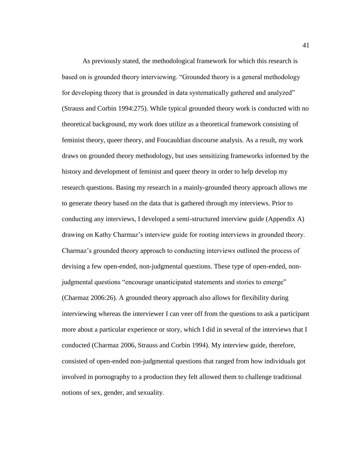As previously stated, the methodological framework for which this research is based on is grounded theory interviewing. "Grounded theory is a general methodology for developing theory that is grounded in data systematically gathered and analyzed" (Strauss and Corbin 1994:275). While typical grounded theory work is conducted with no theoretical background, my work does utilize as a theoretical framework consisting of feminist theory, queer theory, and Foucauldian discourse analysis. As a result, my work draws on grounded theory methodology, but uses sensitizing frameworks informed by the history and development of feminist and queer theory in order to help develop my research questions. Basing my research in a mainly-grounded theory approach allows me to generate theory based on the data that is gathered through my interviews. Prior to conducting any interviews, I developed a semi-structured interview guide (Appendix A) drawing on Kathy Charmaz's interview guide for rooting interviews in grounded theory. Charmaz's grounded theory approach to conducting interviews outlined the process of devising a few open-ended, non-judgmental questions. These type of open-ended, nonjudgmental questions "encourage unanticipated statements and stories to emerge" (Charmaz 2006:26). A grounded theory approach also allows for flexibility during interviewing whereas the interviewer I can veer off from the questions to ask a participant more about a particular experience or story, which I did in several of the interviews that I conducted (Charmaz 2006, Strauss and Corbin 1994). My interview guide, therefore, consisted of open-ended non-judgmental questions that ranged from how individuals got involved in pornography to a production they felt allowed them to challenge traditional notions of sex, gender, and sexuality.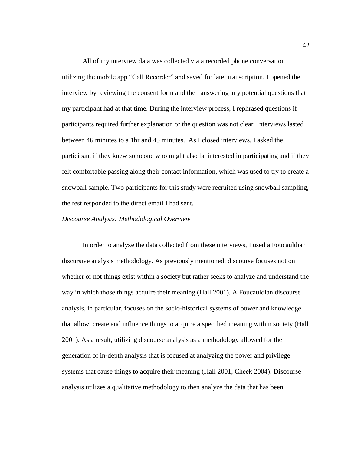All of my interview data was collected via a recorded phone conversation utilizing the mobile app "Call Recorder" and saved for later transcription. I opened the interview by reviewing the consent form and then answering any potential questions that my participant had at that time. During the interview process, I rephrased questions if participants required further explanation or the question was not clear. Interviews lasted between 46 minutes to a 1hr and 45 minutes. As I closed interviews, I asked the participant if they knew someone who might also be interested in participating and if they felt comfortable passing along their contact information, which was used to try to create a snowball sample. Two participants for this study were recruited using snowball sampling, the rest responded to the direct email I had sent.

#### *Discourse Analysis: Methodological Overview*

In order to analyze the data collected from these interviews, I used a Foucauldian discursive analysis methodology. As previously mentioned, discourse focuses not on whether or not things exist within a society but rather seeks to analyze and understand the way in which those things acquire their meaning (Hall 2001). A Foucauldian discourse analysis, in particular, focuses on the socio-historical systems of power and knowledge that allow, create and influence things to acquire a specified meaning within society (Hall 2001). As a result, utilizing discourse analysis as a methodology allowed for the generation of in-depth analysis that is focused at analyzing the power and privilege systems that cause things to acquire their meaning (Hall 2001, Cheek 2004). Discourse analysis utilizes a qualitative methodology to then analyze the data that has been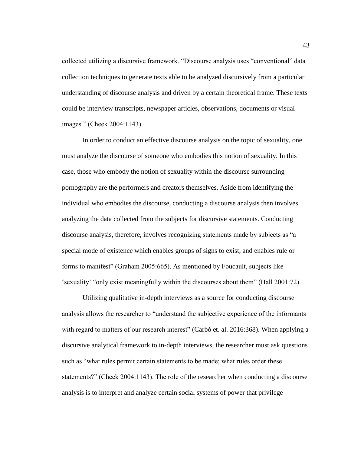collected utilizing a discursive framework. "Discourse analysis uses "conventional" data collection techniques to generate texts able to be analyzed discursively from a particular understanding of discourse analysis and driven by a certain theoretical frame. These texts could be interview transcripts, newspaper articles, observations, documents or visual images." (Cheek 2004:1143).

In order to conduct an effective discourse analysis on the topic of sexuality, one must analyze the discourse of someone who embodies this notion of sexuality. In this case, those who embody the notion of sexuality within the discourse surrounding pornography are the performers and creators themselves. Aside from identifying the individual who embodies the discourse, conducting a discourse analysis then involves analyzing the data collected from the subjects for discursive statements. Conducting discourse analysis, therefore, involves recognizing statements made by subjects as "a special mode of existence which enables groups of signs to exist, and enables rule or forms to manifest" (Graham 2005:665). As mentioned by Foucault, subjects like 'sexuality' "only exist meaningfully within the discourses about them" (Hall 2001:72).

Utilizing qualitative in-depth interviews as a source for conducting discourse analysis allows the researcher to "understand the subjective experience of the informants with regard to matters of our research interest" (Carbó et. al. 2016:368). When applying a discursive analytical framework to in-depth interviews, the researcher must ask questions such as "what rules permit certain statements to be made; what rules order these statements?" (Cheek 2004:1143). The role of the researcher when conducting a discourse analysis is to interpret and analyze certain social systems of power that privilege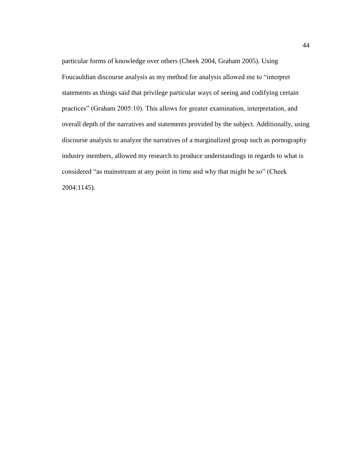particular forms of knowledge over others (Cheek 2004, Graham 2005). Using Foucauldian discourse analysis as my method for analysis allowed me to "interpret statements as things said that privilege particular ways of seeing and codifying certain practices" (Graham 2005:10). This allows for greater examination, interpretation, and overall depth of the narratives and statements provided by the subject. Additionally, using discourse analysis to analyze the narratives of a marginalized group such as pornography industry members, allowed my research to produce understandings in regards to what is considered "as mainstream at any point in time and why that might be so" (Cheek 2004:1145).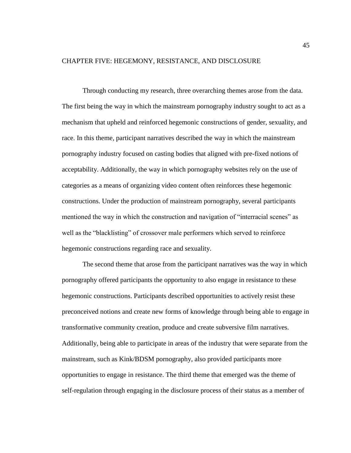#### CHAPTER FIVE: HEGEMONY, RESISTANCE, AND DISCLOSURE

Through conducting my research, three overarching themes arose from the data. The first being the way in which the mainstream pornography industry sought to act as a mechanism that upheld and reinforced hegemonic constructions of gender, sexuality, and race. In this theme, participant narratives described the way in which the mainstream pornography industry focused on casting bodies that aligned with pre-fixed notions of acceptability. Additionally, the way in which pornography websites rely on the use of categories as a means of organizing video content often reinforces these hegemonic constructions. Under the production of mainstream pornography, several participants mentioned the way in which the construction and navigation of "interracial scenes" as well as the "blacklisting" of crossover male performers which served to reinforce hegemonic constructions regarding race and sexuality.

The second theme that arose from the participant narratives was the way in which pornography offered participants the opportunity to also engage in resistance to these hegemonic constructions. Participants described opportunities to actively resist these preconceived notions and create new forms of knowledge through being able to engage in transformative community creation, produce and create subversive film narratives. Additionally, being able to participate in areas of the industry that were separate from the mainstream, such as Kink/BDSM pornography, also provided participants more opportunities to engage in resistance. The third theme that emerged was the theme of self-regulation through engaging in the disclosure process of their status as a member of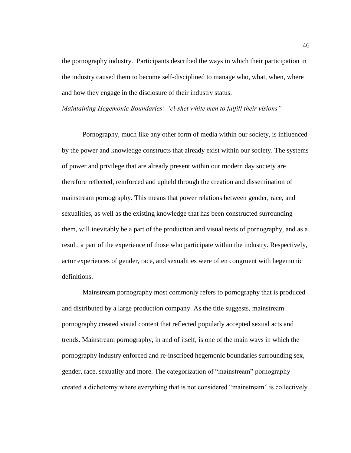the pornography industry. Participants described the ways in which their participation in the industry caused them to become self-disciplined to manage who, what, when, where and how they engage in the disclosure of their industry status.

*Maintaining Hegemonic Boundaries: "ci-shet white men to fulfill their visions"*

Pornography, much like any other form of media within our society, is influenced by the power and knowledge constructs that already exist within our society. The systems of power and privilege that are already present within our modern day society are therefore reflected, reinforced and upheld through the creation and dissemination of mainstream pornography. This means that power relations between gender, race, and sexualities, as well as the existing knowledge that has been constructed surrounding them, will inevitably be a part of the production and visual texts of pornography, and as a result, a part of the experience of those who participate within the industry. Respectively, actor experiences of gender, race, and sexualities were often congruent with hegemonic definitions.

Mainstream pornography most commonly refers to pornography that is produced and distributed by a large production company. As the title suggests, mainstream pornography created visual content that reflected popularly accepted sexual acts and trends. Mainstream pornography, in and of itself, is one of the main ways in which the pornography industry enforced and re-inscribed hegemonic boundaries surrounding sex, gender, race, sexuality and more. The categorization of "mainstream" pornography created a dichotomy where everything that is not considered "mainstream" is collectively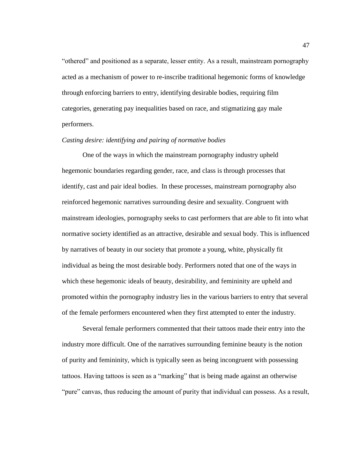"othered" and positioned as a separate, lesser entity. As a result, mainstream pornography acted as a mechanism of power to re-inscribe traditional hegemonic forms of knowledge through enforcing barriers to entry, identifying desirable bodies, requiring film categories, generating pay inequalities based on race, and stigmatizing gay male performers.

### *Casting desire: identifying and pairing of normative bodies*

One of the ways in which the mainstream pornography industry upheld hegemonic boundaries regarding gender, race, and class is through processes that identify, cast and pair ideal bodies. In these processes, mainstream pornography also reinforced hegemonic narratives surrounding desire and sexuality. Congruent with mainstream ideologies, pornography seeks to cast performers that are able to fit into what normative society identified as an attractive, desirable and sexual body. This is influenced by narratives of beauty in our society that promote a young, white, physically fit individual as being the most desirable body. Performers noted that one of the ways in which these hegemonic ideals of beauty, desirability, and femininity are upheld and promoted within the pornography industry lies in the various barriers to entry that several of the female performers encountered when they first attempted to enter the industry.

Several female performers commented that their tattoos made their entry into the industry more difficult. One of the narratives surrounding feminine beauty is the notion of purity and femininity, which is typically seen as being incongruent with possessing tattoos. Having tattoos is seen as a "marking" that is being made against an otherwise "pure" canvas, thus reducing the amount of purity that individual can possess. As a result,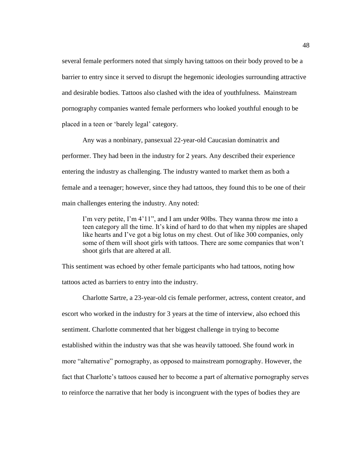several female performers noted that simply having tattoos on their body proved to be a barrier to entry since it served to disrupt the hegemonic ideologies surrounding attractive and desirable bodies. Tattoos also clashed with the idea of youthfulness. Mainstream pornography companies wanted female performers who looked youthful enough to be placed in a teen or 'barely legal' category.

Any was a nonbinary, pansexual 22-year-old Caucasian dominatrix and performer. They had been in the industry for 2 years. Any described their experience entering the industry as challenging. The industry wanted to market them as both a female and a teenager; however, since they had tattoos, they found this to be one of their main challenges entering the industry. Any noted:

I'm very petite, I'm 4'11", and I am under 90lbs. They wanna throw me into a teen category all the time. It's kind of hard to do that when my nipples are shaped like hearts and I've got a big lotus on my chest. Out of like 300 companies, only some of them will shoot girls with tattoos. There are some companies that won't shoot girls that are altered at all.

This sentiment was echoed by other female participants who had tattoos, noting how tattoos acted as barriers to entry into the industry.

Charlotte Sartre, a 23-year-old cis female performer, actress, content creator, and escort who worked in the industry for 3 years at the time of interview, also echoed this sentiment. Charlotte commented that her biggest challenge in trying to become established within the industry was that she was heavily tattooed. She found work in more "alternative" pornography, as opposed to mainstream pornography. However, the fact that Charlotte's tattoos caused her to become a part of alternative pornography serves to reinforce the narrative that her body is incongruent with the types of bodies they are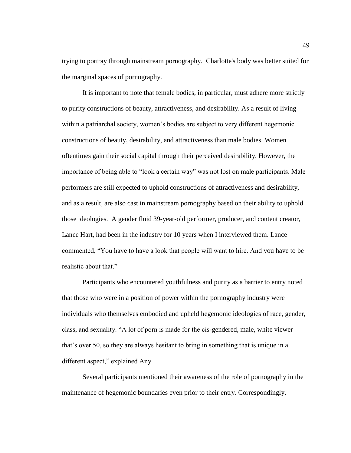trying to portray through mainstream pornography. Charlotte's body was better suited for the marginal spaces of pornography.

It is important to note that female bodies, in particular, must adhere more strictly to purity constructions of beauty, attractiveness, and desirability. As a result of living within a patriarchal society, women's bodies are subject to very different hegemonic constructions of beauty, desirability, and attractiveness than male bodies. Women oftentimes gain their social capital through their perceived desirability. However, the importance of being able to "look a certain way" was not lost on male participants. Male performers are still expected to uphold constructions of attractiveness and desirability, and as a result, are also cast in mainstream pornography based on their ability to uphold those ideologies. A gender fluid 39-year-old performer, producer, and content creator, Lance Hart, had been in the industry for 10 years when I interviewed them. Lance commented, "You have to have a look that people will want to hire. And you have to be realistic about that."

Participants who encountered youthfulness and purity as a barrier to entry noted that those who were in a position of power within the pornography industry were individuals who themselves embodied and upheld hegemonic ideologies of race, gender, class, and sexuality. "A lot of porn is made for the cis-gendered, male, white viewer that's over 50, so they are always hesitant to bring in something that is unique in a different aspect," explained Any.

Several participants mentioned their awareness of the role of pornography in the maintenance of hegemonic boundaries even prior to their entry. Correspondingly,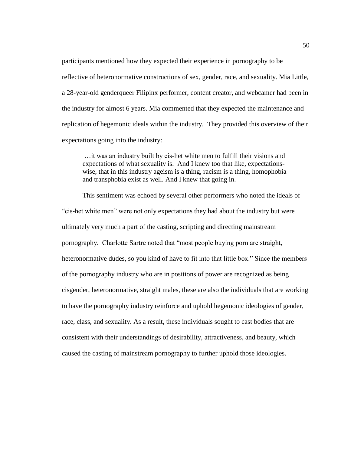participants mentioned how they expected their experience in pornography to be reflective of heteronormative constructions of sex, gender, race, and sexuality. Mia Little, a 28-year-old genderqueer Filipinx performer, content creator, and webcamer had been in the industry for almost 6 years. Mia commented that they expected the maintenance and replication of hegemonic ideals within the industry. They provided this overview of their expectations going into the industry:

…it was an industry built by cis-het white men to fulfill their visions and expectations of what sexuality is. And I knew too that like, expectationswise, that in this industry ageism is a thing, racism is a thing, homophobia and transphobia exist as well. And I knew that going in.

This sentiment was echoed by several other performers who noted the ideals of "cis-het white men" were not only expectations they had about the industry but were ultimately very much a part of the casting, scripting and directing mainstream pornography. Charlotte Sartre noted that "most people buying porn are straight, heteronormative dudes, so you kind of have to fit into that little box." Since the members of the pornography industry who are in positions of power are recognized as being cisgender, heteronormative, straight males, these are also the individuals that are working to have the pornography industry reinforce and uphold hegemonic ideologies of gender, race, class, and sexuality. As a result, these individuals sought to cast bodies that are consistent with their understandings of desirability, attractiveness, and beauty, which caused the casting of mainstream pornography to further uphold those ideologies.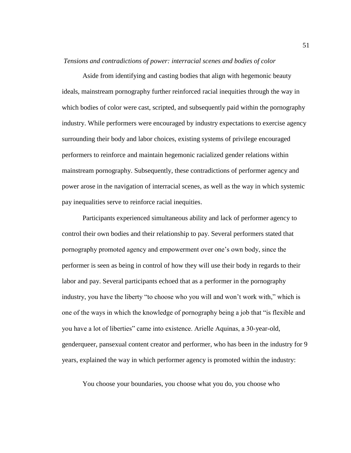*Tensions and contradictions of power: interracial scenes and bodies of color*

Aside from identifying and casting bodies that align with hegemonic beauty ideals, mainstream pornography further reinforced racial inequities through the way in which bodies of color were cast, scripted, and subsequently paid within the pornography industry. While performers were encouraged by industry expectations to exercise agency surrounding their body and labor choices, existing systems of privilege encouraged performers to reinforce and maintain hegemonic racialized gender relations within mainstream pornography. Subsequently, these contradictions of performer agency and power arose in the navigation of interracial scenes, as well as the way in which systemic pay inequalities serve to reinforce racial inequities.

Participants experienced simultaneous ability and lack of performer agency to control their own bodies and their relationship to pay. Several performers stated that pornography promoted agency and empowerment over one's own body, since the performer is seen as being in control of how they will use their body in regards to their labor and pay. Several participants echoed that as a performer in the pornography industry, you have the liberty "to choose who you will and won't work with," which is one of the ways in which the knowledge of pornography being a job that "is flexible and you have a lot of liberties" came into existence. Arielle Aquinas, a 30-year-old, genderqueer, pansexual content creator and performer, who has been in the industry for 9 years, explained the way in which performer agency is promoted within the industry:

You choose your boundaries, you choose what you do, you choose who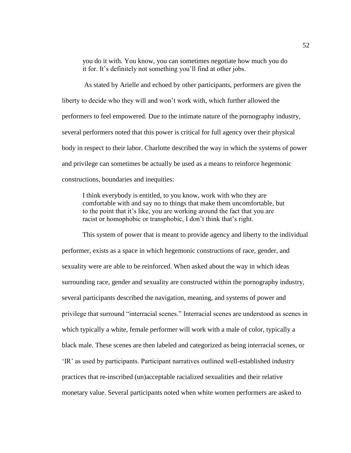you do it with. You know, you can sometimes negotiate how much you do it for. It's definitely not something you'll find at other jobs.

As stated by Arielle and echoed by other participants, performers are given the liberty to decide who they will and won't work with, which further allowed the performers to feel empowered. Due to the intimate nature of the pornography industry, several performers noted that this power is critical for full agency over their physical body in respect to their labor. Charlotte described the way in which the systems of power and privilege can sometimes be actually be used as a means to reinforce hegemonic constructions, boundaries and inequities:

I think everybody is entitled, to you know, work with who they are comfortable with and say no to things that make them uncomfortable, but to the point that it's like, you are working around the fact that you are racist or homophobic or transphobic, I don't think that's right.

This system of power that is meant to provide agency and liberty to the individual performer, exists as a space in which hegemonic constructions of race, gender, and sexuality were are able to be reinforced. When asked about the way in which ideas surrounding race, gender and sexuality are constructed within the pornography industry, several participants described the navigation, meaning, and systems of power and privilege that surround "interracial scenes." Interracial scenes are understood as scenes in which typically a white, female performer will work with a male of color, typically a black male. These scenes are then labeled and categorized as being interracial scenes, or 'IR' as used by participants. Participant narratives outlined well-established industry practices that re-inscribed (un)acceptable racialized sexualities and their relative monetary value. Several participants noted when white women performers are asked to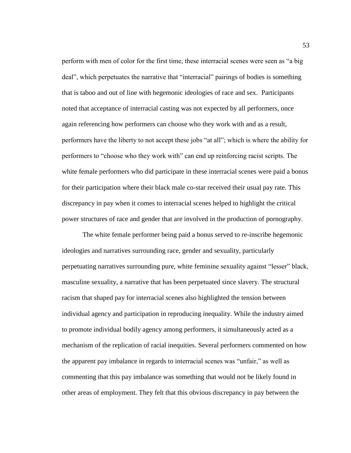perform with men of color for the first time, these interracial scenes were seen as "a big deal", which perpetuates the narrative that "interracial" pairings of bodies is something that is taboo and out of line with hegemonic ideologies of race and sex. Participants noted that acceptance of interracial casting was not expected by all performers, once again referencing how performers can choose who they work with and as a result, performers have the liberty to not accept these jobs "at all"; which is where the ability for performers to "choose who they work with" can end up reinforcing racist scripts. The white female performers who did participate in these interracial scenes were paid a bonus for their participation where their black male co-star received their usual pay rate. This discrepancy in pay when it comes to interracial scenes helped to highlight the critical power structures of race and gender that are involved in the production of pornography.

The white female performer being paid a bonus served to re-inscribe hegemonic ideologies and narratives surrounding race, gender and sexuality, particularly perpetuating narratives surrounding pure, white feminine sexuality against "lesser" black, masculine sexuality, a narrative that has been perpetuated since slavery. The structural racism that shaped pay for interracial scenes also highlighted the tension between individual agency and participation in reproducing inequality. While the industry aimed to promote individual bodily agency among performers, it simultaneously acted as a mechanism of the replication of racial inequities. Several performers commented on how the apparent pay imbalance in regards to interracial scenes was "unfair," as well as commenting that this pay imbalance was something that would not be likely found in other areas of employment. They felt that this obvious discrepancy in pay between the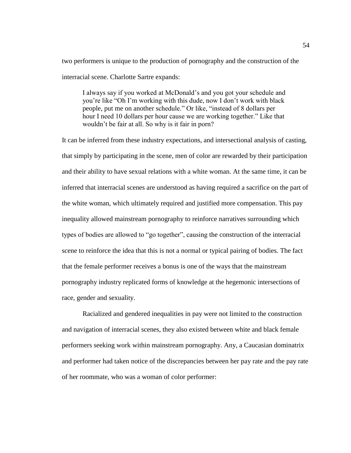two performers is unique to the production of pornography and the construction of the interracial scene. Charlotte Sartre expands:

I always say if you worked at McDonald's and you got your schedule and you're like "Oh I'm working with this dude, now I don't work with black people, put me on another schedule." Or like, "instead of 8 dollars per hour I need 10 dollars per hour cause we are working together." Like that wouldn't be fair at all. So why is it fair in porn?

It can be inferred from these industry expectations, and intersectional analysis of casting, that simply by participating in the scene, men of color are rewarded by their participation and their ability to have sexual relations with a white woman. At the same time, it can be inferred that interracial scenes are understood as having required a sacrifice on the part of the white woman, which ultimately required and justified more compensation. This pay inequality allowed mainstream pornography to reinforce narratives surrounding which types of bodies are allowed to "go together", causing the construction of the interracial scene to reinforce the idea that this is not a normal or typical pairing of bodies. The fact that the female performer receives a bonus is one of the ways that the mainstream pornography industry replicated forms of knowledge at the hegemonic intersections of race, gender and sexuality.

Racialized and gendered inequalities in pay were not limited to the construction and navigation of interracial scenes, they also existed between white and black female performers seeking work within mainstream pornography. Any, a Caucasian dominatrix and performer had taken notice of the discrepancies between her pay rate and the pay rate of her roommate, who was a woman of color performer: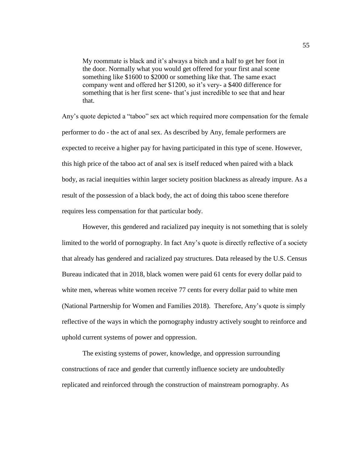My roommate is black and it's always a bitch and a half to get her foot in the door. Normally what you would get offered for your first anal scene something like \$1600 to \$2000 or something like that. The same exact company went and offered her \$1200, so it's very- a \$400 difference for something that is her first scene- that's just incredible to see that and hear that.

Any's quote depicted a "taboo" sex act which required more compensation for the female performer to do - the act of anal sex. As described by Any, female performers are expected to receive a higher pay for having participated in this type of scene. However, this high price of the taboo act of anal sex is itself reduced when paired with a black body, as racial inequities within larger society position blackness as already impure. As a result of the possession of a black body, the act of doing this taboo scene therefore requires less compensation for that particular body.

However, this gendered and racialized pay inequity is not something that is solely limited to the world of pornography. In fact Any's quote is directly reflective of a society that already has gendered and racialized pay structures. Data released by the U.S. Census Bureau indicated that in 2018, black women were paid 61 cents for every dollar paid to white men, whereas white women receive 77 cents for every dollar paid to white men (National Partnership for Women and Families 2018). Therefore, Any's quote is simply reflective of the ways in which the pornography industry actively sought to reinforce and uphold current systems of power and oppression.

The existing systems of power, knowledge, and oppression surrounding constructions of race and gender that currently influence society are undoubtedly replicated and reinforced through the construction of mainstream pornography. As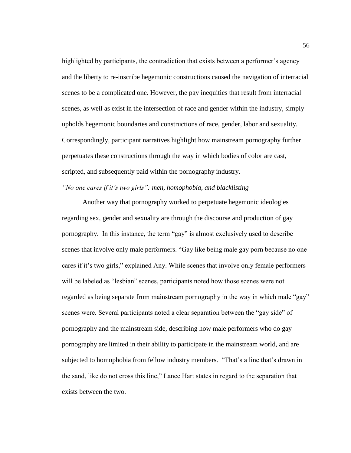highlighted by participants, the contradiction that exists between a performer's agency and the liberty to re-inscribe hegemonic constructions caused the navigation of interracial scenes to be a complicated one. However, the pay inequities that result from interracial scenes, as well as exist in the intersection of race and gender within the industry, simply upholds hegemonic boundaries and constructions of race, gender, labor and sexuality. Correspondingly, participant narratives highlight how mainstream pornography further perpetuates these constructions through the way in which bodies of color are cast, scripted, and subsequently paid within the pornography industry.

# *"No one cares if it's two girls": men, homophobia, and blacklisting*

Another way that pornography worked to perpetuate hegemonic ideologies regarding sex, gender and sexuality are through the discourse and production of gay pornography. In this instance, the term "gay" is almost exclusively used to describe scenes that involve only male performers. "Gay like being male gay porn because no one cares if it's two girls," explained Any. While scenes that involve only female performers will be labeled as "lesbian" scenes, participants noted how those scenes were not regarded as being separate from mainstream pornography in the way in which male "gay" scenes were. Several participants noted a clear separation between the "gay side" of pornography and the mainstream side, describing how male performers who do gay pornography are limited in their ability to participate in the mainstream world, and are subjected to homophobia from fellow industry members. "That's a line that's drawn in the sand, like do not cross this line," Lance Hart states in regard to the separation that exists between the two.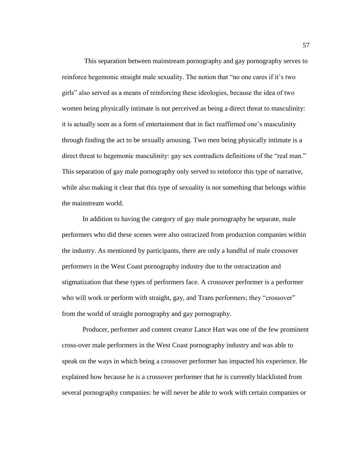This separation between mainstream pornography and gay pornography serves to reinforce hegemonic straight male sexuality. The notion that "no one cares if it's two girls" also served as a means of reinforcing these ideologies, because the idea of two women being physically intimate is not perceived as being a direct threat to masculinity: it is actually seen as a form of entertainment that in fact reaffirmed one's masculinity through finding the act to be sexually arousing. Two men being physically intimate is a direct threat to hegemonic masculinity: gay sex contradicts definitions of the "real man." This separation of gay male pornography only served to reinforce this type of narrative, while also making it clear that this type of sexuality is not something that belongs within the mainstream world.

In addition to having the category of gay male pornography be separate, male performers who did these scenes were also ostracized from production companies within the industry. As mentioned by participants, there are only a handful of male crossover performers in the West Coast pornography industry due to the ostracization and stigmatization that these types of performers face. A crossover performer is a performer who will work or perform with straight, gay, and Trans performers; they "crossover" from the world of straight pornography and gay pornography.

Producer, performer and content creator Lance Hart was one of the few prominent cross-over male performers in the West Coast pornography industry and was able to speak on the ways in which being a crossover performer has impacted his experience. He explained how because he is a crossover performer that he is currently blacklisted from several pornography companies: he will never be able to work with certain companies or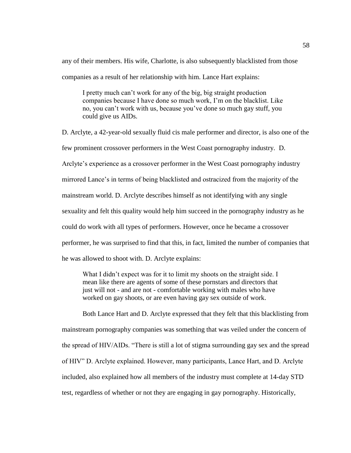any of their members. His wife, Charlotte, is also subsequently blacklisted from those companies as a result of her relationship with him. Lance Hart explains:

I pretty much can't work for any of the big, big straight production companies because I have done so much work, I'm on the blacklist. Like no, you can't work with us, because you've done so much gay stuff, you could give us AIDs.

D. Arclyte, a 42-year-old sexually fluid cis male performer and director, is also one of the few prominent crossover performers in the West Coast pornography industry. D. Arclyte's experience as a crossover performer in the West Coast pornography industry mirrored Lance's in terms of being blacklisted and ostracized from the majority of the mainstream world. D. Arclyte describes himself as not identifying with any single sexuality and felt this quality would help him succeed in the pornography industry as he could do work with all types of performers. However, once he became a crossover performer, he was surprised to find that this, in fact, limited the number of companies that he was allowed to shoot with. D. Arclyte explains:

What I didn't expect was for it to limit my shoots on the straight side. I mean like there are agents of some of these pornstars and directors that just will not - and are not - comfortable working with males who have worked on gay shoots, or are even having gay sex outside of work.

Both Lance Hart and D. Arclyte expressed that they felt that this blacklisting from mainstream pornography companies was something that was veiled under the concern of the spread of HIV/AIDs. "There is still a lot of stigma surrounding gay sex and the spread of HIV" D. Arclyte explained. However, many participants, Lance Hart, and D. Arclyte included, also explained how all members of the industry must complete at 14-day STD test, regardless of whether or not they are engaging in gay pornography. Historically,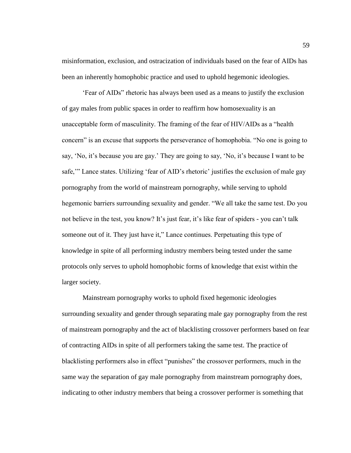misinformation, exclusion, and ostracization of individuals based on the fear of AIDs has been an inherently homophobic practice and used to uphold hegemonic ideologies.

'Fear of AIDs" rhetoric has always been used as a means to justify the exclusion of gay males from public spaces in order to reaffirm how homosexuality is an unacceptable form of masculinity. The framing of the fear of HIV/AIDs as a "health concern" is an excuse that supports the perseverance of homophobia. "No one is going to say, 'No, it's because you are gay.' They are going to say, 'No, it's because I want to be safe," Lance states. Utilizing 'fear of AID's rhetoric' justifies the exclusion of male gay pornography from the world of mainstream pornography, while serving to uphold hegemonic barriers surrounding sexuality and gender. "We all take the same test. Do you not believe in the test, you know? It's just fear, it's like fear of spiders - you can't talk someone out of it. They just have it," Lance continues. Perpetuating this type of knowledge in spite of all performing industry members being tested under the same protocols only serves to uphold homophobic forms of knowledge that exist within the larger society.

Mainstream pornography works to uphold fixed hegemonic ideologies surrounding sexuality and gender through separating male gay pornography from the rest of mainstream pornography and the act of blacklisting crossover performers based on fear of contracting AIDs in spite of all performers taking the same test. The practice of blacklisting performers also in effect "punishes" the crossover performers, much in the same way the separation of gay male pornography from mainstream pornography does, indicating to other industry members that being a crossover performer is something that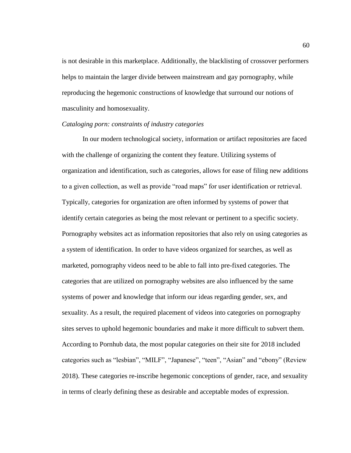is not desirable in this marketplace. Additionally, the blacklisting of crossover performers helps to maintain the larger divide between mainstream and gay pornography, while reproducing the hegemonic constructions of knowledge that surround our notions of masculinity and homosexuality.

#### *Cataloging porn: constraints of industry categories*

In our modern technological society, information or artifact repositories are faced with the challenge of organizing the content they feature. Utilizing systems of organization and identification, such as categories, allows for ease of filing new additions to a given collection, as well as provide "road maps" for user identification or retrieval. Typically, categories for organization are often informed by systems of power that identify certain categories as being the most relevant or pertinent to a specific society. Pornography websites act as information repositories that also rely on using categories as a system of identification. In order to have videos organized for searches, as well as marketed, pornography videos need to be able to fall into pre-fixed categories. The categories that are utilized on pornography websites are also influenced by the same systems of power and knowledge that inform our ideas regarding gender, sex, and sexuality. As a result, the required placement of videos into categories on pornography sites serves to uphold hegemonic boundaries and make it more difficult to subvert them. According to Pornhub data, the most popular categories on their site for 2018 included categories such as "lesbian", "MILF", "Japanese", "teen", "Asian" and "ebony" (Review 2018). These categories re-inscribe hegemonic conceptions of gender, race, and sexuality in terms of clearly defining these as desirable and acceptable modes of expression.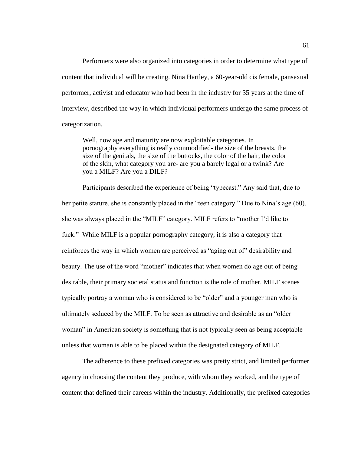Performers were also organized into categories in order to determine what type of content that individual will be creating. Nina Hartley, a 60-year-old cis female, pansexual performer, activist and educator who had been in the industry for 35 years at the time of interview, described the way in which individual performers undergo the same process of categorization.

Well, now age and maturity are now exploitable categories. In pornography everything is really commodified- the size of the breasts, the size of the genitals, the size of the buttocks, the color of the hair, the color of the skin, what category you are- are you a barely legal or a twink? Are you a MILF? Are you a DILF?

Participants described the experience of being "typecast." Any said that, due to her petite stature, she is constantly placed in the "teen category." Due to Nina's age (60), she was always placed in the "MILF" category. MILF refers to "mother I'd like to fuck." While MILF is a popular pornography category, it is also a category that reinforces the way in which women are perceived as "aging out of" desirability and beauty. The use of the word "mother" indicates that when women do age out of being desirable, their primary societal status and function is the role of mother. MILF scenes typically portray a woman who is considered to be "older" and a younger man who is ultimately seduced by the MILF. To be seen as attractive and desirable as an "older woman" in American society is something that is not typically seen as being acceptable unless that woman is able to be placed within the designated category of MILF.

The adherence to these prefixed categories was pretty strict, and limited performer agency in choosing the content they produce, with whom they worked, and the type of content that defined their careers within the industry. Additionally, the prefixed categories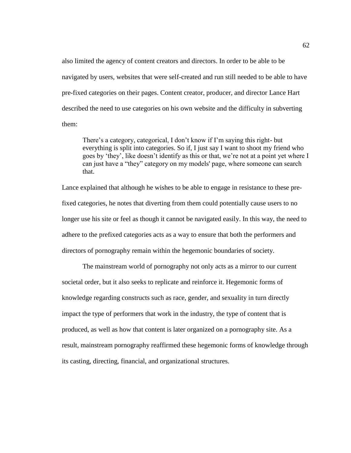also limited the agency of content creators and directors. In order to be able to be navigated by users, websites that were self-created and run still needed to be able to have pre-fixed categories on their pages. Content creator, producer, and director Lance Hart described the need to use categories on his own website and the difficulty in subverting them:

There's a category, categorical, I don't know if I'm saying this right- but everything is split into categories. So if, I just say I want to shoot my friend who goes by 'they', like doesn't identify as this or that, we're not at a point yet where I can just have a "they" category on my models' page, where someone can search that.

Lance explained that although he wishes to be able to engage in resistance to these prefixed categories, he notes that diverting from them could potentially cause users to no longer use his site or feel as though it cannot be navigated easily. In this way, the need to adhere to the prefixed categories acts as a way to ensure that both the performers and directors of pornography remain within the hegemonic boundaries of society.

The mainstream world of pornography not only acts as a mirror to our current societal order, but it also seeks to replicate and reinforce it. Hegemonic forms of knowledge regarding constructs such as race, gender, and sexuality in turn directly impact the type of performers that work in the industry, the type of content that is produced, as well as how that content is later organized on a pornography site. As a result, mainstream pornography reaffirmed these hegemonic forms of knowledge through its casting, directing, financial, and organizational structures.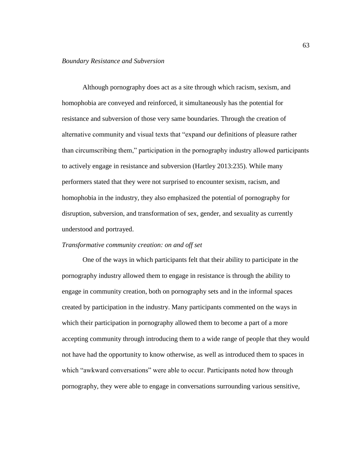Although pornography does act as a site through which racism, sexism, and homophobia are conveyed and reinforced, it simultaneously has the potential for resistance and subversion of those very same boundaries. Through the creation of alternative community and visual texts that "expand our definitions of pleasure rather than circumscribing them," participation in the pornography industry allowed participants to actively engage in resistance and subversion (Hartley 2013:235). While many performers stated that they were not surprised to encounter sexism, racism, and homophobia in the industry, they also emphasized the potential of pornography for disruption, subversion, and transformation of sex, gender, and sexuality as currently understood and portrayed.

# *Transformative community creation: on and off set*

One of the ways in which participants felt that their ability to participate in the pornography industry allowed them to engage in resistance is through the ability to engage in community creation, both on pornography sets and in the informal spaces created by participation in the industry. Many participants commented on the ways in which their participation in pornography allowed them to become a part of a more accepting community through introducing them to a wide range of people that they would not have had the opportunity to know otherwise, as well as introduced them to spaces in which "awkward conversations" were able to occur. Participants noted how through pornography, they were able to engage in conversations surrounding various sensitive,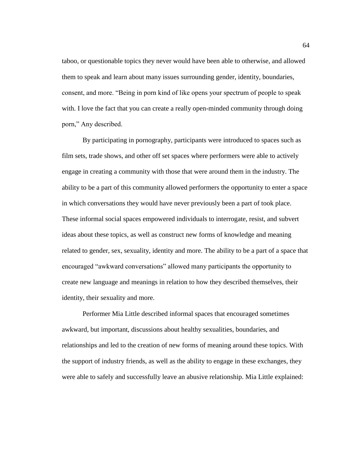taboo, or questionable topics they never would have been able to otherwise, and allowed them to speak and learn about many issues surrounding gender, identity, boundaries, consent, and more. "Being in porn kind of like opens your spectrum of people to speak with. I love the fact that you can create a really open-minded community through doing porn," Any described.

By participating in pornography, participants were introduced to spaces such as film sets, trade shows, and other off set spaces where performers were able to actively engage in creating a community with those that were around them in the industry. The ability to be a part of this community allowed performers the opportunity to enter a space in which conversations they would have never previously been a part of took place. These informal social spaces empowered individuals to interrogate, resist, and subvert ideas about these topics, as well as construct new forms of knowledge and meaning related to gender, sex, sexuality, identity and more. The ability to be a part of a space that encouraged "awkward conversations" allowed many participants the opportunity to create new language and meanings in relation to how they described themselves, their identity, their sexuality and more.

Performer Mia Little described informal spaces that encouraged sometimes awkward, but important, discussions about healthy sexualities, boundaries, and relationships and led to the creation of new forms of meaning around these topics. With the support of industry friends, as well as the ability to engage in these exchanges, they were able to safely and successfully leave an abusive relationship. Mia Little explained: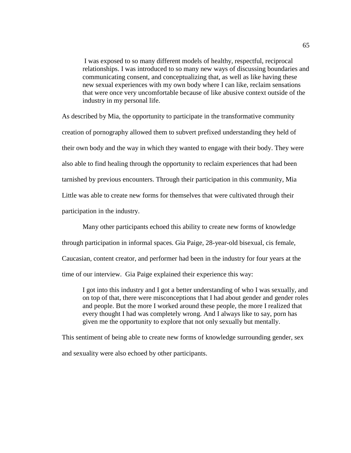I was exposed to so many different models of healthy, respectful, reciprocal relationships. I was introduced to so many new ways of discussing boundaries and communicating consent, and conceptualizing that, as well as like having these new sexual experiences with my own body where I can like, reclaim sensations that were once very uncomfortable because of like abusive context outside of the industry in my personal life.

As described by Mia, the opportunity to participate in the transformative community creation of pornography allowed them to subvert prefixed understanding they held of their own body and the way in which they wanted to engage with their body. They were also able to find healing through the opportunity to reclaim experiences that had been tarnished by previous encounters. Through their participation in this community, Mia Little was able to create new forms for themselves that were cultivated through their participation in the industry.

Many other participants echoed this ability to create new forms of knowledge through participation in informal spaces. Gia Paige, 28-year-old bisexual, cis female, Caucasian, content creator, and performer had been in the industry for four years at the time of our interview. Gia Paige explained their experience this way:

I got into this industry and I got a better understanding of who I was sexually, and on top of that, there were misconceptions that I had about gender and gender roles and people. But the more I worked around these people, the more I realized that every thought I had was completely wrong. And I always like to say, porn has given me the opportunity to explore that not only sexually but mentally.

This sentiment of being able to create new forms of knowledge surrounding gender, sex and sexuality were also echoed by other participants.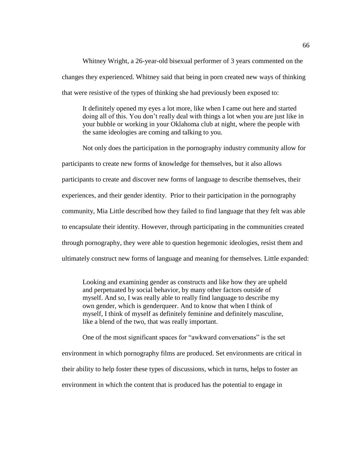Whitney Wright, a 26-year-old bisexual performer of 3 years commented on the changes they experienced. Whitney said that being in porn created new ways of thinking that were resistive of the types of thinking she had previously been exposed to:

It definitely opened my eyes a lot more, like when I came out here and started doing all of this. You don't really deal with things a lot when you are just like in your bubble or working in your Oklahoma club at night, where the people with the same ideologies are coming and talking to you.

Not only does the participation in the pornography industry community allow for participants to create new forms of knowledge for themselves, but it also allows participants to create and discover new forms of language to describe themselves, their experiences, and their gender identity. Prior to their participation in the pornography community, Mia Little described how they failed to find language that they felt was able to encapsulate their identity. However, through participating in the communities created through pornography, they were able to question hegemonic ideologies, resist them and ultimately construct new forms of language and meaning for themselves. Little expanded:

Looking and examining gender as constructs and like how they are upheld and perpetuated by social behavior, by many other factors outside of myself. And so, I was really able to really find language to describe my own gender, which is genderqueer. And to know that when I think of myself, I think of myself as definitely feminine and definitely masculine, like a blend of the two, that was really important.

One of the most significant spaces for "awkward conversations" is the set environment in which pornography films are produced. Set environments are critical in their ability to help foster these types of discussions, which in turns, helps to foster an environment in which the content that is produced has the potential to engage in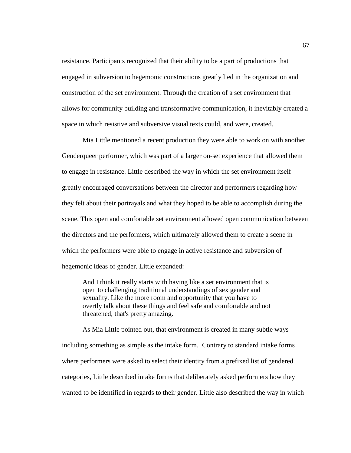resistance. Participants recognized that their ability to be a part of productions that engaged in subversion to hegemonic constructions greatly lied in the organization and construction of the set environment. Through the creation of a set environment that allows for community building and transformative communication, it inevitably created a space in which resistive and subversive visual texts could, and were, created.

Mia Little mentioned a recent production they were able to work on with another Genderqueer performer, which was part of a larger on-set experience that allowed them to engage in resistance. Little described the way in which the set environment itself greatly encouraged conversations between the director and performers regarding how they felt about their portrayals and what they hoped to be able to accomplish during the scene. This open and comfortable set environment allowed open communication between the directors and the performers, which ultimately allowed them to create a scene in which the performers were able to engage in active resistance and subversion of hegemonic ideas of gender. Little expanded:

And I think it really starts with having like a set environment that is open to challenging traditional understandings of sex gender and sexuality. Like the more room and opportunity that you have to overtly talk about these things and feel safe and comfortable and not threatened, that's pretty amazing.

As Mia Little pointed out, that environment is created in many subtle ways including something as simple as the intake form. Contrary to standard intake forms where performers were asked to select their identity from a prefixed list of gendered categories, Little described intake forms that deliberately asked performers how they wanted to be identified in regards to their gender. Little also described the way in which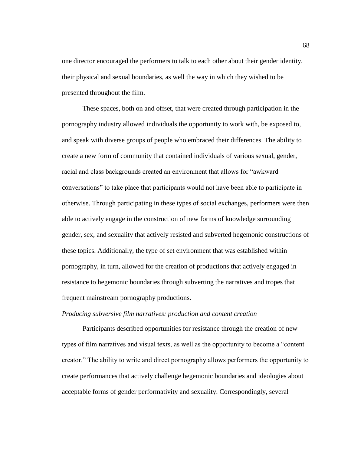one director encouraged the performers to talk to each other about their gender identity, their physical and sexual boundaries, as well the way in which they wished to be presented throughout the film.

These spaces, both on and offset, that were created through participation in the pornography industry allowed individuals the opportunity to work with, be exposed to, and speak with diverse groups of people who embraced their differences. The ability to create a new form of community that contained individuals of various sexual, gender, racial and class backgrounds created an environment that allows for "awkward conversations" to take place that participants would not have been able to participate in otherwise. Through participating in these types of social exchanges, performers were then able to actively engage in the construction of new forms of knowledge surrounding gender, sex, and sexuality that actively resisted and subverted hegemonic constructions of these topics. Additionally, the type of set environment that was established within pornography, in turn, allowed for the creation of productions that actively engaged in resistance to hegemonic boundaries through subverting the narratives and tropes that frequent mainstream pornography productions.

#### *Producing subversive film narratives: production and content creation*

Participants described opportunities for resistance through the creation of new types of film narratives and visual texts, as well as the opportunity to become a "content creator." The ability to write and direct pornography allows performers the opportunity to create performances that actively challenge hegemonic boundaries and ideologies about acceptable forms of gender performativity and sexuality. Correspondingly, several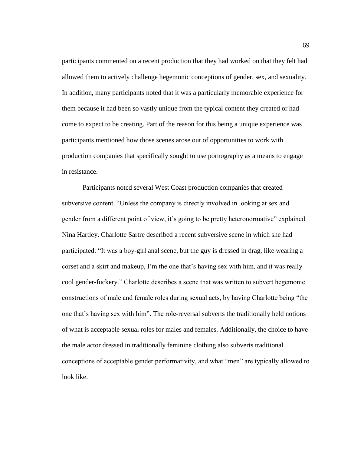participants commented on a recent production that they had worked on that they felt had allowed them to actively challenge hegemonic conceptions of gender, sex, and sexuality. In addition, many participants noted that it was a particularly memorable experience for them because it had been so vastly unique from the typical content they created or had come to expect to be creating. Part of the reason for this being a unique experience was participants mentioned how those scenes arose out of opportunities to work with production companies that specifically sought to use pornography as a means to engage in resistance.

Participants noted several West Coast production companies that created subversive content. "Unless the company is directly involved in looking at sex and gender from a different point of view, it's going to be pretty heteronormative" explained Nina Hartley. Charlotte Sartre described a recent subversive scene in which she had participated: "It was a boy-girl anal scene, but the guy is dressed in drag, like wearing a corset and a skirt and makeup, I'm the one that's having sex with him, and it was really cool gender-fuckery." Charlotte describes a scene that was written to subvert hegemonic constructions of male and female roles during sexual acts, by having Charlotte being "the one that's having sex with him". The role-reversal subverts the traditionally held notions of what is acceptable sexual roles for males and females. Additionally, the choice to have the male actor dressed in traditionally feminine clothing also subverts traditional conceptions of acceptable gender performativity, and what "men" are typically allowed to look like.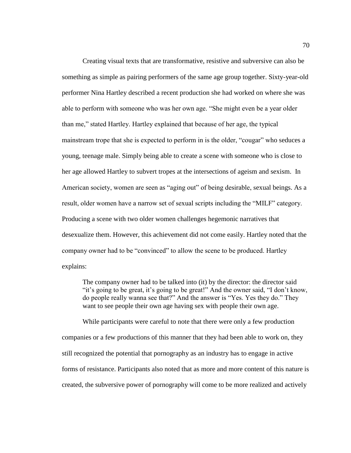Creating visual texts that are transformative, resistive and subversive can also be something as simple as pairing performers of the same age group together. Sixty-year-old performer Nina Hartley described a recent production she had worked on where she was able to perform with someone who was her own age. "She might even be a year older than me," stated Hartley. Hartley explained that because of her age, the typical mainstream trope that she is expected to perform in is the older, "cougar" who seduces a young, teenage male. Simply being able to create a scene with someone who is close to her age allowed Hartley to subvert tropes at the intersections of ageism and sexism. In American society, women are seen as "aging out" of being desirable, sexual beings. As a result, older women have a narrow set of sexual scripts including the "MILF" category. Producing a scene with two older women challenges hegemonic narratives that desexualize them. However, this achievement did not come easily. Hartley noted that the company owner had to be "convinced" to allow the scene to be produced. Hartley explains:

The company owner had to be talked into (it) by the director: the director said "it's going to be great, it's going to be great!" And the owner said, "I don't know, do people really wanna see that?" And the answer is "Yes. Yes they do." They want to see people their own age having sex with people their own age.

While participants were careful to note that there were only a few production companies or a few productions of this manner that they had been able to work on, they still recognized the potential that pornography as an industry has to engage in active forms of resistance. Participants also noted that as more and more content of this nature is created, the subversive power of pornography will come to be more realized and actively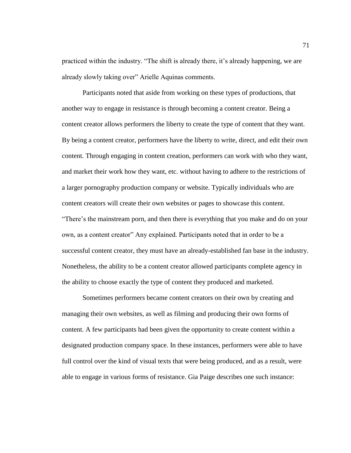practiced within the industry. "The shift is already there, it's already happening, we are already slowly taking over" Arielle Aquinas comments.

Participants noted that aside from working on these types of productions, that another way to engage in resistance is through becoming a content creator. Being a content creator allows performers the liberty to create the type of content that they want. By being a content creator, performers have the liberty to write, direct, and edit their own content. Through engaging in content creation, performers can work with who they want, and market their work how they want, etc. without having to adhere to the restrictions of a larger pornography production company or website. Typically individuals who are content creators will create their own websites or pages to showcase this content. "There's the mainstream porn, and then there is everything that you make and do on your own, as a content creator" Any explained. Participants noted that in order to be a successful content creator, they must have an already-established fan base in the industry. Nonetheless, the ability to be a content creator allowed participants complete agency in the ability to choose exactly the type of content they produced and marketed.

Sometimes performers became content creators on their own by creating and managing their own websites, as well as filming and producing their own forms of content. A few participants had been given the opportunity to create content within a designated production company space. In these instances, performers were able to have full control over the kind of visual texts that were being produced, and as a result, were able to engage in various forms of resistance. Gia Paige describes one such instance: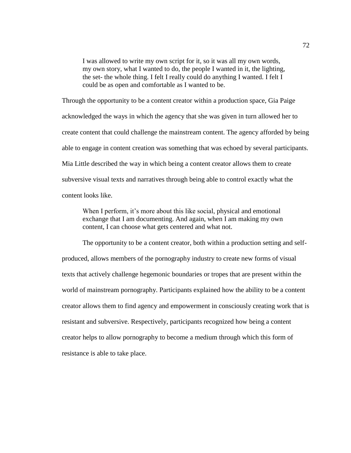I was allowed to write my own script for it, so it was all my own words, my own story, what I wanted to do, the people I wanted in it, the lighting, the set- the whole thing. I felt I really could do anything I wanted. I felt I could be as open and comfortable as I wanted to be.

Through the opportunity to be a content creator within a production space, Gia Paige acknowledged the ways in which the agency that she was given in turn allowed her to create content that could challenge the mainstream content. The agency afforded by being able to engage in content creation was something that was echoed by several participants. Mia Little described the way in which being a content creator allows them to create subversive visual texts and narratives through being able to control exactly what the content looks like.

When I perform, it's more about this like social, physical and emotional exchange that I am documenting. And again, when I am making my own content, I can choose what gets centered and what not.

The opportunity to be a content creator, both within a production setting and selfproduced, allows members of the pornography industry to create new forms of visual texts that actively challenge hegemonic boundaries or tropes that are present within the world of mainstream pornography. Participants explained how the ability to be a content creator allows them to find agency and empowerment in consciously creating work that is resistant and subversive. Respectively, participants recognized how being a content creator helps to allow pornography to become a medium through which this form of resistance is able to take place.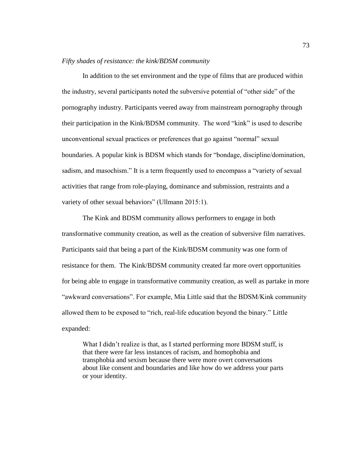#### *Fifty shades of resistance: the kink/BDSM community*

In addition to the set environment and the type of films that are produced within the industry, several participants noted the subversive potential of "other side" of the pornography industry. Participants veered away from mainstream pornography through their participation in the Kink/BDSM community. The word "kink" is used to describe unconventional sexual practices or preferences that go against "normal" sexual boundaries. A popular kink is BDSM which stands for "bondage, discipline/domination, sadism, and masochism." It is a term frequently used to encompass a "variety of sexual activities that range from role-playing, dominance and submission, restraints and a variety of other sexual behaviors" (Ullmann 2015:1).

The Kink and BDSM community allows performers to engage in both transformative community creation, as well as the creation of subversive film narratives. Participants said that being a part of the Kink/BDSM community was one form of resistance for them. The Kink/BDSM community created far more overt opportunities for being able to engage in transformative community creation, as well as partake in more "awkward conversations". For example, Mia Little said that the BDSM/Kink community allowed them to be exposed to "rich, real-life education beyond the binary." Little expanded:

What I didn't realize is that, as I started performing more BDSM stuff, is that there were far less instances of racism, and homophobia and transphobia and sexism because there were more overt conversations about like consent and boundaries and like how do we address your parts or your identity.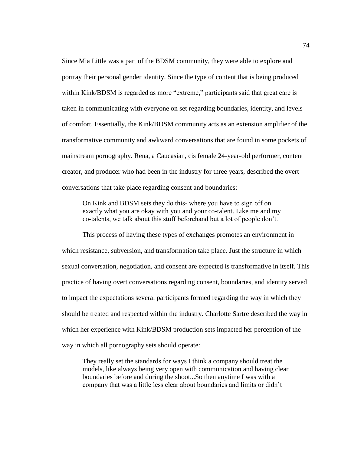Since Mia Little was a part of the BDSM community, they were able to explore and portray their personal gender identity. Since the type of content that is being produced within Kink/BDSM is regarded as more "extreme," participants said that great care is taken in communicating with everyone on set regarding boundaries, identity, and levels of comfort. Essentially, the Kink/BDSM community acts as an extension amplifier of the transformative community and awkward conversations that are found in some pockets of mainstream pornography. Rena, a Caucasian, cis female 24-year-old performer, content creator, and producer who had been in the industry for three years, described the overt conversations that take place regarding consent and boundaries:

On Kink and BDSM sets they do this- where you have to sign off on exactly what you are okay with you and your co-talent. Like me and my co-talents, we talk about this stuff beforehand but a lot of people don't.

This process of having these types of exchanges promotes an environment in which resistance, subversion, and transformation take place. Just the structure in which sexual conversation, negotiation, and consent are expected is transformative in itself. This practice of having overt conversations regarding consent, boundaries, and identity served to impact the expectations several participants formed regarding the way in which they should be treated and respected within the industry. Charlotte Sartre described the way in which her experience with Kink/BDSM production sets impacted her perception of the way in which all pornography sets should operate:

They really set the standards for ways I think a company should treat the models, like always being very open with communication and having clear boundaries before and during the shoot...So then anytime I was with a company that was a little less clear about boundaries and limits or didn't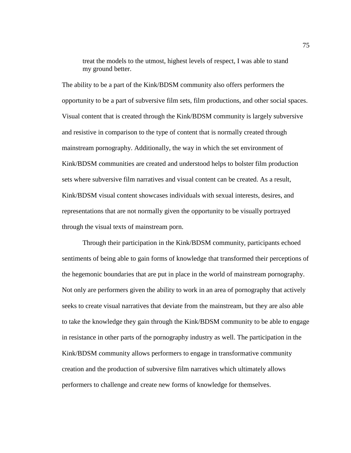treat the models to the utmost, highest levels of respect, I was able to stand my ground better.

The ability to be a part of the Kink/BDSM community also offers performers the opportunity to be a part of subversive film sets, film productions, and other social spaces. Visual content that is created through the Kink/BDSM community is largely subversive and resistive in comparison to the type of content that is normally created through mainstream pornography. Additionally, the way in which the set environment of Kink/BDSM communities are created and understood helps to bolster film production sets where subversive film narratives and visual content can be created. As a result, Kink/BDSM visual content showcases individuals with sexual interests, desires, and representations that are not normally given the opportunity to be visually portrayed through the visual texts of mainstream porn.

Through their participation in the Kink/BDSM community, participants echoed sentiments of being able to gain forms of knowledge that transformed their perceptions of the hegemonic boundaries that are put in place in the world of mainstream pornography. Not only are performers given the ability to work in an area of pornography that actively seeks to create visual narratives that deviate from the mainstream, but they are also able to take the knowledge they gain through the Kink/BDSM community to be able to engage in resistance in other parts of the pornography industry as well. The participation in the Kink/BDSM community allows performers to engage in transformative community creation and the production of subversive film narratives which ultimately allows performers to challenge and create new forms of knowledge for themselves.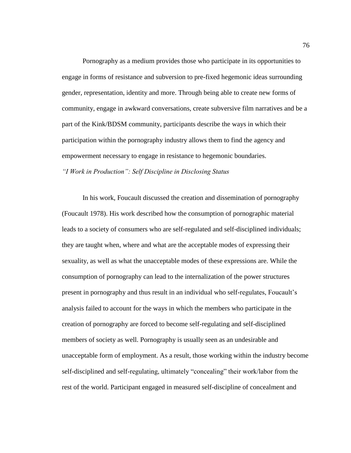Pornography as a medium provides those who participate in its opportunities to engage in forms of resistance and subversion to pre-fixed hegemonic ideas surrounding gender, representation, identity and more. Through being able to create new forms of community, engage in awkward conversations, create subversive film narratives and be a part of the Kink/BDSM community, participants describe the ways in which their participation within the pornography industry allows them to find the agency and empowerment necessary to engage in resistance to hegemonic boundaries. *"I Work in Production": Self Discipline in Disclosing Status*

In his work, Foucault discussed the creation and dissemination of pornography (Foucault 1978). His work described how the consumption of pornographic material leads to a society of consumers who are self-regulated and self-disciplined individuals; they are taught when, where and what are the acceptable modes of expressing their sexuality, as well as what the unacceptable modes of these expressions are. While the consumption of pornography can lead to the internalization of the power structures present in pornography and thus result in an individual who self-regulates, Foucault's analysis failed to account for the ways in which the members who participate in the creation of pornography are forced to become self-regulating and self-disciplined members of society as well. Pornography is usually seen as an undesirable and unacceptable form of employment. As a result, those working within the industry become self-disciplined and self-regulating, ultimately "concealing" their work/labor from the rest of the world. Participant engaged in measured self-discipline of concealment and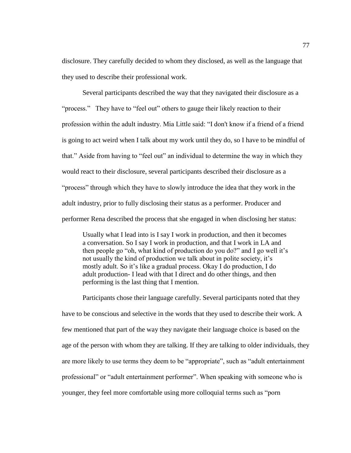disclosure. They carefully decided to whom they disclosed, as well as the language that they used to describe their professional work.

Several participants described the way that they navigated their disclosure as a "process." They have to "feel out" others to gauge their likely reaction to their profession within the adult industry. Mia Little said: "I don't know if a friend of a friend is going to act weird when I talk about my work until they do, so I have to be mindful of that." Aside from having to "feel out" an individual to determine the way in which they would react to their disclosure, several participants described their disclosure as a "process" through which they have to slowly introduce the idea that they work in the adult industry, prior to fully disclosing their status as a performer. Producer and performer Rena described the process that she engaged in when disclosing her status:

Usually what I lead into is I say I work in production, and then it becomes a conversation. So I say I work in production, and that I work in LA and then people go "oh, what kind of production do you do?" and I go well it's not usually the kind of production we talk about in polite society, it's mostly adult. So it's like a gradual process. Okay I do production, I do adult production- I lead with that I direct and do other things, and then performing is the last thing that I mention.

Participants chose their language carefully. Several participants noted that they have to be conscious and selective in the words that they used to describe their work. A few mentioned that part of the way they navigate their language choice is based on the age of the person with whom they are talking. If they are talking to older individuals, they are more likely to use terms they deem to be "appropriate", such as "adult entertainment professional" or "adult entertainment performer". When speaking with someone who is younger, they feel more comfortable using more colloquial terms such as "porn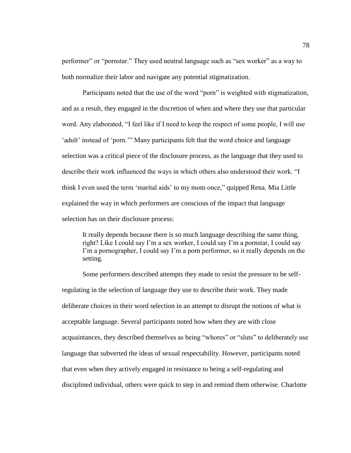performer" or "pornstar." They used neutral language such as "sex worker" as a way to both normalize their labor and navigate any potential stigmatization.

Participants noted that the use of the word "porn" is weighted with stigmatization, and as a result, they engaged in the discretion of when and where they use that particular word. Any elaborated, "I feel like if I need to keep the respect of some people, I will use 'adult' instead of 'porn.'" Many participants felt that the word choice and language selection was a critical piece of the disclosure process, as the language that they used to describe their work influenced the ways in which others also understood their work. "I think I even used the term 'marital aids' to my mom once," quipped Rena. Mia Little explained the way in which performers are conscious of the impact that language selection has on their disclosure process:

It really depends because there is so much language describing the same thing, right? Like I could say I'm a sex worker, I could say I'm a pornstar, I could say I'm a pornographer, I could say I'm a porn performer, so it really depends on the setting.

Some performers described attempts they made to resist the pressure to be selfregulating in the selection of language they use to describe their work. They made deliberate choices in their word selection in an attempt to disrupt the notions of what is acceptable language. Several participants noted how when they are with close acquaintances, they described themselves as being "whores" or "sluts" to deliberately use language that subverted the ideas of sexual respectability. However, participants noted that even when they actively engaged in resistance to being a self-regulating and disciplined individual, others were quick to step in and remind them otherwise. Charlotte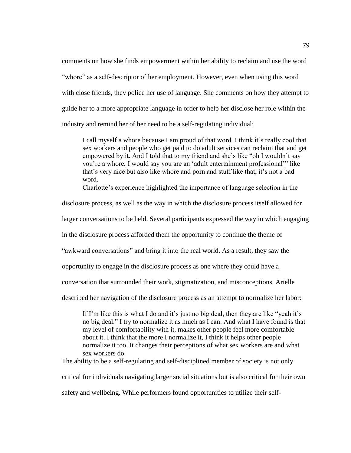comments on how she finds empowerment within her ability to reclaim and use the word "whore" as a self-descriptor of her employment. However, even when using this word with close friends, they police her use of language. She comments on how they attempt to guide her to a more appropriate language in order to help her disclose her role within the industry and remind her of her need to be a self-regulating individual:

I call myself a whore because I am proud of that word. I think it's really cool that sex workers and people who get paid to do adult services can reclaim that and get empowered by it. And I told that to my friend and she's like "oh I wouldn't say you're a whore, I would say you are an 'adult entertainment professional'" like that's very nice but also like whore and porn and stuff like that, it's not a bad word.

Charlotte's experience highlighted the importance of language selection in the

disclosure process, as well as the way in which the disclosure process itself allowed for

larger conversations to be held. Several participants expressed the way in which engaging

in the disclosure process afforded them the opportunity to continue the theme of

"awkward conversations" and bring it into the real world. As a result, they saw the

opportunity to engage in the disclosure process as one where they could have a

conversation that surrounded their work, stigmatization, and misconceptions. Arielle

described her navigation of the disclosure process as an attempt to normalize her labor:

If I'm like this is what I do and it's just no big deal, then they are like "yeah it's no big deal." I try to normalize it as much as I can. And what I have found is that my level of comfortability with it, makes other people feel more comfortable about it. I think that the more I normalize it, I think it helps other people normalize it too. It changes their perceptions of what sex workers are and what sex workers do.

The ability to be a self-regulating and self-disciplined member of society is not only

critical for individuals navigating larger social situations but is also critical for their own

safety and wellbeing. While performers found opportunities to utilize their self-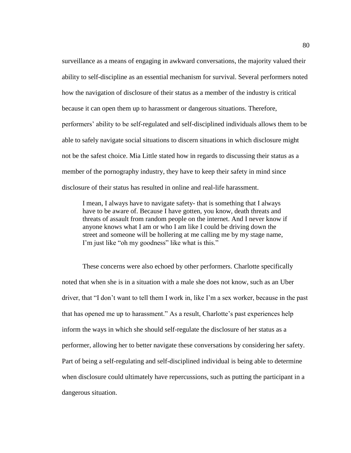surveillance as a means of engaging in awkward conversations, the majority valued their ability to self-discipline as an essential mechanism for survival. Several performers noted how the navigation of disclosure of their status as a member of the industry is critical because it can open them up to harassment or dangerous situations. Therefore, performers' ability to be self-regulated and self-disciplined individuals allows them to be able to safely navigate social situations to discern situations in which disclosure might not be the safest choice. Mia Little stated how in regards to discussing their status as a member of the pornography industry, they have to keep their safety in mind since disclosure of their status has resulted in online and real-life harassment.

I mean, I always have to navigate safety- that is something that I always have to be aware of. Because I have gotten, you know, death threats and threats of assault from random people on the internet. And I never know if anyone knows what I am or who I am like I could be driving down the street and someone will be hollering at me calling me by my stage name, I'm just like "oh my goodness" like what is this."

These concerns were also echoed by other performers. Charlotte specifically noted that when she is in a situation with a male she does not know, such as an Uber driver, that "I don't want to tell them I work in, like I'm a sex worker, because in the past that has opened me up to harassment." As a result, Charlotte's past experiences help inform the ways in which she should self-regulate the disclosure of her status as a performer, allowing her to better navigate these conversations by considering her safety. Part of being a self-regulating and self-disciplined individual is being able to determine when disclosure could ultimately have repercussions, such as putting the participant in a dangerous situation.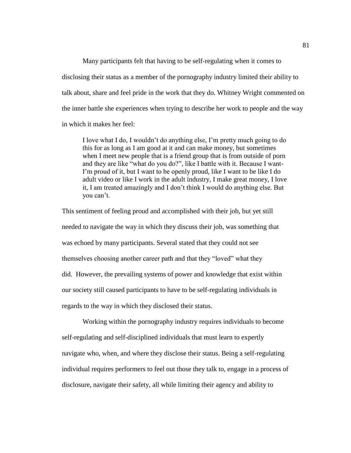Many participants felt that having to be self-regulating when it comes to disclosing their status as a member of the pornography industry limited their ability to talk about, share and feel pride in the work that they do. Whitney Wright commented on the inner battle she experiences when trying to describe her work to people and the way in which it makes her feel:

I love what I do, I wouldn't do anything else, I'm pretty much going to do this for as long as I am good at it and can make money, but sometimes when I meet new people that is a friend group that is from outside of porn and they are like "what do you do?", like I battle with it. Because I want-I'm proud of it, but I want to be openly proud, like I want to be like I do adult video or like I work in the adult industry, I make great money, I love it, I am treated amazingly and I don't think I would do anything else. But you can't.

This sentiment of feeling proud and accomplished with their job, but yet still needed to navigate the way in which they discuss their job, was something that was echoed by many participants. Several stated that they could not see themselves choosing another career path and that they "loved" what they did. However, the prevailing systems of power and knowledge that exist within our society still caused participants to have to be self-regulating individuals in regards to the way in which they disclosed their status.

Working within the pornography industry requires individuals to become self-regulating and self-disciplined individuals that must learn to expertly navigate who, when, and where they disclose their status. Being a self-regulating individual requires performers to feel out those they talk to, engage in a process of disclosure, navigate their safety, all while limiting their agency and ability to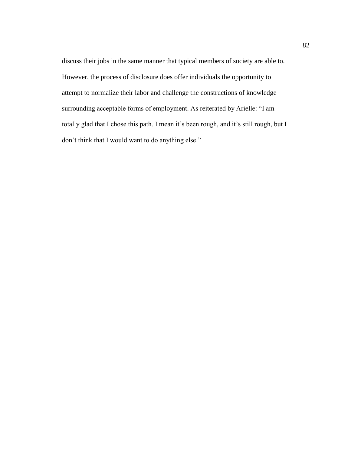discuss their jobs in the same manner that typical members of society are able to. However, the process of disclosure does offer individuals the opportunity to attempt to normalize their labor and challenge the constructions of knowledge surrounding acceptable forms of employment. As reiterated by Arielle: "I am totally glad that I chose this path. I mean it's been rough, and it's still rough, but I don't think that I would want to do anything else."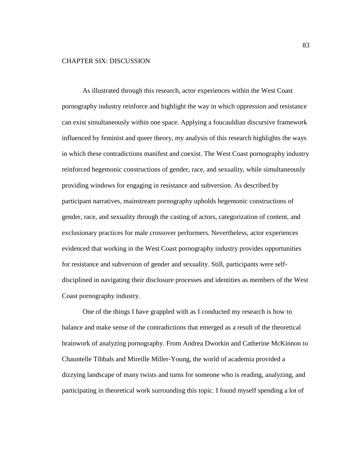# CHAPTER SIX: DISCUSSION

As illustrated through this research, actor experiences within the West Coast pornography industry reinforce and highlight the way in which oppression and resistance can exist simultaneously within one space. Applying a foucauldian discursive framework influenced by feminist and queer theory, my analysis of this research highlights the ways in which these contradictions manifest and coexist. The West Coast pornography industry reinforced hegemonic constructions of gender, race, and sexuality, while simultaneously providing windows for engaging in resistance and subversion. As described by participant narratives, mainstream pornography upholds hegemonic constructions of gender, race, and sexuality through the casting of actors, categorization of content, and exclusionary practices for male crossover performers. Nevertheless, actor experiences evidenced that working in the West Coast pornography industry provides opportunities for resistance and subversion of gender and sexuality. Still, participants were selfdisciplined in navigating their disclosure processes and identities as members of the West Coast pornography industry.

One of the things I have grappled with as I conducted my research is how to balance and make sense of the contradictions that emerged as a result of the theoretical brainwork of analyzing pornography. From Andrea Dworkin and Catherine McKinnon to Chauntelle Tibbals and Mireille Miller-Young, the world of academia provided a dizzying landscape of many twists and turns for someone who is reading, analyzing, and participating in theoretical work surrounding this topic. I found myself spending a lot of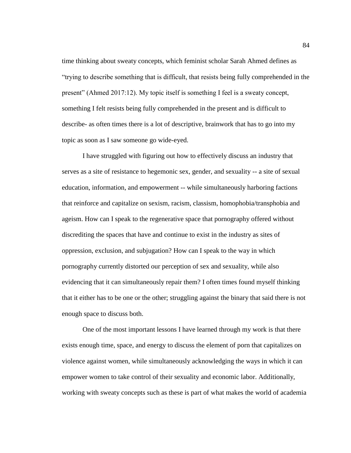time thinking about sweaty concepts, which feminist scholar Sarah Ahmed defines as "trying to describe something that is difficult, that resists being fully comprehended in the present" (Ahmed 2017:12). My topic itself is something I feel is a sweaty concept, something I felt resists being fully comprehended in the present and is difficult to describe- as often times there is a lot of descriptive, brainwork that has to go into my topic as soon as I saw someone go wide-eyed.

I have struggled with figuring out how to effectively discuss an industry that serves as a site of resistance to hegemonic sex, gender, and sexuality -- a site of sexual education, information, and empowerment -- while simultaneously harboring factions that reinforce and capitalize on sexism, racism, classism, homophobia/transphobia and ageism. How can I speak to the regenerative space that pornography offered without discrediting the spaces that have and continue to exist in the industry as sites of oppression, exclusion, and subjugation? How can I speak to the way in which pornography currently distorted our perception of sex and sexuality, while also evidencing that it can simultaneously repair them? I often times found myself thinking that it either has to be one or the other; struggling against the binary that said there is not enough space to discuss both.

One of the most important lessons I have learned through my work is that there exists enough time, space, and energy to discuss the element of porn that capitalizes on violence against women, while simultaneously acknowledging the ways in which it can empower women to take control of their sexuality and economic labor. Additionally, working with sweaty concepts such as these is part of what makes the world of academia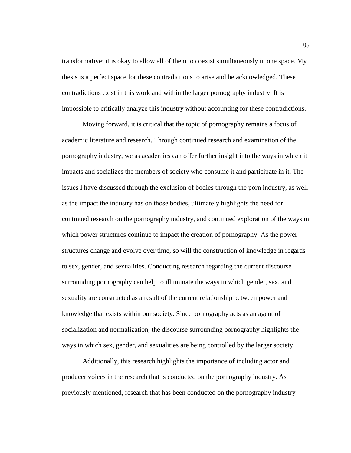transformative: it is okay to allow all of them to coexist simultaneously in one space. My thesis is a perfect space for these contradictions to arise and be acknowledged. These contradictions exist in this work and within the larger pornography industry. It is impossible to critically analyze this industry without accounting for these contradictions.

Moving forward, it is critical that the topic of pornography remains a focus of academic literature and research. Through continued research and examination of the pornography industry, we as academics can offer further insight into the ways in which it impacts and socializes the members of society who consume it and participate in it. The issues I have discussed through the exclusion of bodies through the porn industry, as well as the impact the industry has on those bodies, ultimately highlights the need for continued research on the pornography industry, and continued exploration of the ways in which power structures continue to impact the creation of pornography. As the power structures change and evolve over time, so will the construction of knowledge in regards to sex, gender, and sexualities. Conducting research regarding the current discourse surrounding pornography can help to illuminate the ways in which gender, sex, and sexuality are constructed as a result of the current relationship between power and knowledge that exists within our society. Since pornography acts as an agent of socialization and normalization, the discourse surrounding pornography highlights the ways in which sex, gender, and sexualities are being controlled by the larger society.

Additionally, this research highlights the importance of including actor and producer voices in the research that is conducted on the pornography industry. As previously mentioned, research that has been conducted on the pornography industry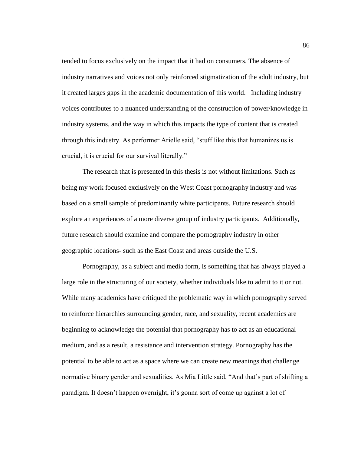tended to focus exclusively on the impact that it had on consumers. The absence of industry narratives and voices not only reinforced stigmatization of the adult industry, but it created larges gaps in the academic documentation of this world. Including industry voices contributes to a nuanced understanding of the construction of power/knowledge in industry systems, and the way in which this impacts the type of content that is created through this industry. As performer Arielle said, "stuff like this that humanizes us is crucial, it is crucial for our survival literally."

The research that is presented in this thesis is not without limitations. Such as being my work focused exclusively on the West Coast pornography industry and was based on a small sample of predominantly white participants. Future research should explore an experiences of a more diverse group of industry participants. Additionally, future research should examine and compare the pornography industry in other geographic locations- such as the East Coast and areas outside the U.S.

Pornography, as a subject and media form, is something that has always played a large role in the structuring of our society, whether individuals like to admit to it or not. While many academics have critiqued the problematic way in which pornography served to reinforce hierarchies surrounding gender, race, and sexuality, recent academics are beginning to acknowledge the potential that pornography has to act as an educational medium, and as a result, a resistance and intervention strategy. Pornography has the potential to be able to act as a space where we can create new meanings that challenge normative binary gender and sexualities. As Mia Little said, "And that's part of shifting a paradigm. It doesn't happen overnight, it's gonna sort of come up against a lot of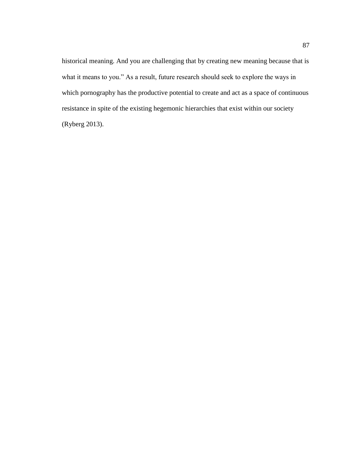historical meaning. And you are challenging that by creating new meaning because that is what it means to you." As a result, future research should seek to explore the ways in which pornography has the productive potential to create and act as a space of continuous resistance in spite of the existing hegemonic hierarchies that exist within our society (Ryberg 2013).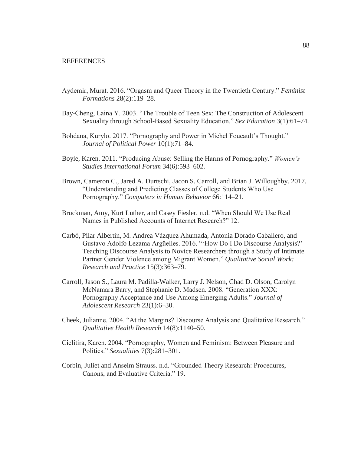#### **REFERENCES**

- Aydemir, Murat. 2016. "Orgasm and Queer Theory in the Twentieth Century." *Feminist Formations* 28(2):119–28.
- Bay-Cheng, Laina Y. 2003. "The Trouble of Teen Sex: The Construction of Adolescent Sexuality through School-Based Sexuality Education." *Sex Education* 3(1):61–74.
- Bohdana, Kurylo. 2017. "Pornography and Power in Michel Foucault's Thought." *Journal of Political Power* 10(1):71–84.
- Boyle, Karen. 2011. "Producing Abuse: Selling the Harms of Pornography." *Women's Studies International Forum* 34(6):593–602.
- Brown, Cameron C., Jared A. Durtschi, Jacon S. Carroll, and Brian J. Willoughby. 2017. "Understanding and Predicting Classes of College Students Who Use Pornography." *Computers in Human Behavior* 66:114–21.
- Bruckman, Amy, Kurt Luther, and Casey Fiesler. n.d. "When Should We Use Real Names in Published Accounts of Internet Research?" 12.
- Carbó, Pilar Albertín, M. Andrea Vázquez Ahumada, Antonia Dorado Caballero, and Gustavo Adolfo Lezama Argüelles. 2016. "'How Do I Do Discourse Analysis?' Teaching Discourse Analysis to Novice Researchers through a Study of Intimate Partner Gender Violence among Migrant Women." *Qualitative Social Work: Research and Practice* 15(3):363–79.
- Carroll, Jason S., Laura M. Padilla-Walker, Larry J. Nelson, Chad D. Olson, Carolyn McNamara Barry, and Stephanie D. Madsen. 2008. "Generation XXX: Pornography Acceptance and Use Among Emerging Adults." *Journal of Adolescent Research* 23(1):6–30.
- Cheek, Julianne. 2004. "At the Margins? Discourse Analysis and Qualitative Research." *Qualitative Health Research* 14(8):1140–50.
- Ciclitira, Karen. 2004. "Pornography, Women and Feminism: Between Pleasure and Politics." *Sexualities* 7(3):281–301.
- Corbin, Juliet and Anselm Strauss. n.d. "Grounded Theory Research: Procedures, Canons, and Evaluative Criteria." 19.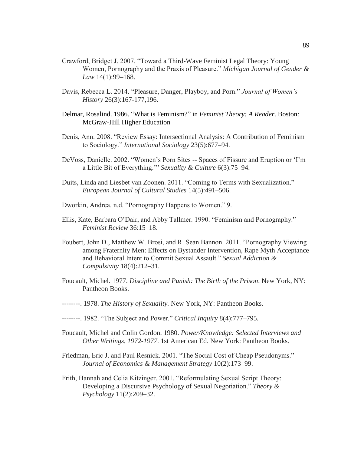- Crawford, Bridget J. 2007. "Toward a Third-Wave Feminist Legal Theory: Young Women, Pornography and the Praxis of Pleasure." *Michigan Journal of Gender & Law* 14(1):99–168.
- Davis, Rebecca L. 2014. "Pleasure, Danger, Playboy, and Porn." *Journal of Women's History* 26(3):167-177,196.
- Delmar, Rosalind. 1986. "What is Feminism?" in *Feminist Theory: A Reader*. Boston: McGraw-Hill Higher Education
- Denis, Ann. 2008. "Review Essay: Intersectional Analysis: A Contribution of Feminism to Sociology." *International Sociology* 23(5):677–94.
- DeVoss, Danielle. 2002. "Women's Porn Sites -- Spaces of Fissure and Eruption or 'I'm a Little Bit of Everything.'" *Sexuality & Culture* 6(3):75–94.
- Duits, Linda and Liesbet van Zoonen. 2011. "Coming to Terms with Sexualization." *European Journal of Cultural Studies* 14(5):491–506.
- Dworkin, Andrea. n.d. "Pornography Happens to Women." 9.
- Ellis, Kate, Barbara O'Dair, and Abby Tallmer. 1990. "Feminism and Pornography." *Feminist Review* 36:15–18.
- Foubert, John D., Matthew W. Brosi, and R. Sean Bannon. 2011. "Pornography Viewing among Fraternity Men: Effects on Bystander Intervention, Rape Myth Acceptance and Behavioral Intent to Commit Sexual Assault." *Sexual Addiction & Compulsivity* 18(4):212–31.
- Foucault, Michel. 1977. *Discipline and Punish: The Birth of the Prison*. New York, NY: Pantheon Books.
- --------. 1978. *The History of Sexuality.* New York, NY: Pantheon Books.
- --------. 1982. "The Subject and Power." *Critical Inquiry* 8(4):777–795.
- Foucault, Michel and Colin Gordon. 1980. *Power/Knowledge: Selected Interviews and Other Writings, 1972-1977*. 1st American Ed. New York: Pantheon Books.
- Friedman, Eric J. and Paul Resnick. 2001. "The Social Cost of Cheap Pseudonyms." *Journal of Economics & Management Strategy* 10(2):173–99.
- Frith, Hannah and Celia Kitzinger. 2001. "Reformulating Sexual Script Theory: Developing a Discursive Psychology of Sexual Negotiation." *Theory & Psychology* 11(2):209–32.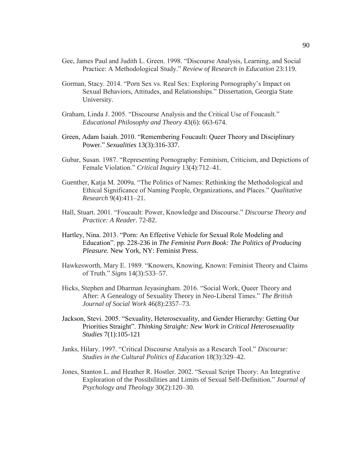- Gee, James Paul and Judith L. Green. 1998. "Discourse Analysis, Learning, and Social Practice: A Methodological Study." *Review of Research in Education* 23:119.
- Gorman, Stacy. 2014. "Porn Sex vs. Real Sex: Exploring Pornography's Impact on Sexual Behaviors, Attitudes, and Relationships." Dissertation, Georgia State University.
- Graham, Linda J. 2005. "Discourse Analysis and the Critical Use of Foucault." *Educational Philosophy and Theory* 43(6): 663-674.
- Green, Adam Isaiah. 2010. "Remembering Foucault: Queer Theory and Disciplinary Power." *Sexualities* 13(3):316-337.
- Gubar, Susan. 1987. "Representing Pornography: Feminism, Criticism, and Depictions of Female Violation." *Critical Inquiry* 13(4):712–41.
- Guenther, Katja M. 2009a. "The Politics of Names: Rethinking the Methodological and Ethical Significance of Naming People, Organizations, and Places." *Qualitative Research* 9(4):411–21.
- Hall, Stuart. 2001. "Foucault: Power, Knowledge and Discourse." *Discourse Theory and Practice: A Reader*. 72-82.
- Hartley, Nina. 2013. "Porn: An Effective Vehicle for Sexual Role Modeling and Education". pp. 228-236 in *The Feminist Porn Book: The Politics of Producing Pleasure.* New York, NY: Feminist Press.
- Hawkesworth, Mary E. 1989. "Knowers, Knowing, Known: Feminist Theory and Claims of Truth." *Signs* 14(3):533–57.
- Hicks, Stephen and Dharman Jeyasingham. 2016. "Social Work, Queer Theory and After: A Genealogy of Sexuality Theory in Neo-Liberal Times." *The British Journal of Social Work* 46(8):2357–73.
- Jackson, Stevi. 2005. "Sexuality, Heterosexuality, and Gender Hierarchy: Getting Our Priorities Straight". *Thinking Straight: New Work in Critical Heterosexuality Studies* 7(1):105-121
- Janks, Hilary. 1997. "Critical Discourse Analysis as a Research Tool." *Discourse: Studies in the Cultural Politics of Education* 18(3):329–42.
- Jones, Stanton L. and Heather R. Hostler. 2002. "Sexual Script Theory: An Integrative Exploration of the Possibilities and Limits of Sexual Self-Definition." *Journal of Psychology and Theology* 30(2):120–30.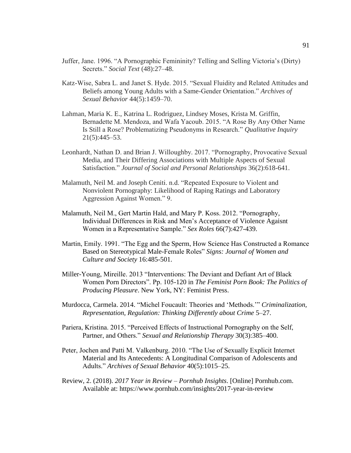- Juffer, Jane. 1996. "A Pornographic Femininity? Telling and Selling Victoria's (Dirty) Secrets." *Social Text* (48):27–48.
- Katz-Wise, Sabra L. and Janet S. Hyde. 2015. "Sexual Fluidity and Related Attitudes and Beliefs among Young Adults with a Same-Gender Orientation." *Archives of Sexual Behavior* 44(5):1459–70.
- Lahman, Maria K. E., Katrina L. Rodriguez, Lindsey Moses, Krista M. Griffin, Bernadette M. Mendoza, and Wafa Yacoub. 2015. "A Rose By Any Other Name Is Still a Rose? Problematizing Pseudonyms in Research." *Qualitative Inquiry*  21(5):445–53.
- Leonhardt, Nathan D. and Brian J. Willoughby. 2017. "Pornography, Provocative Sexual Media, and Their Differing Associations with Multiple Aspects of Sexual Satisfaction." *Journal of Social and Personal Relationships* 36(2):618-641.
- Malamuth, Neil M. and Joseph Ceniti. n.d. "Repeated Exposure to Violent and Nonviolent Pornography: Likelihood of Raping Ratings and Laboratory Aggression Against Women." 9.
- Malamuth, Neil M., Gert Martin Hald, and Mary P. Koss. 2012. "Pornography, Individual Differences in Risk and Men's Acceptance of Violence Agaisnt Women in a Representative Sample." *Sex Roles* 66(7):427-439.
- Martin, Emily. 1991. "The Egg and the Sperm, How Science Has Constructed a Romance Based on Stereotypical Male-Female Roles" *Signs: Journal of Women and Culture and Society* 16:485-501.
- Miller-Young, Mireille. 2013 "Interventions: The Deviant and Defiant Art of Black Women Porn Directors". Pp. 105-120 in *The Feminist Porn Book: The Politics of Producing Pleasure*. New York, NY: Feminist Press.
- Murdocca, Carmela. 2014. "Michel Foucault: Theories and 'Methods.'" *Criminalization, Representation, Regulation: Thinking Differently about Crime* 5–27.
- Pariera, Kristina. 2015. "Perceived Effects of Instructional Pornography on the Self, Partner, and Others." *Sexual and Relationship Therapy* 30(3):385–400.
- Peter, Jochen and Patti M. Valkenburg. 2010. "The Use of Sexually Explicit Internet Material and Its Antecedents: A Longitudinal Comparison of Adolescents and Adults." *Archives of Sexual Behavior* 40(5):1015–25.
- Review, 2. (2018). *2017 Year in Review – Pornhub Insights*. [Online] Pornhub.com. Available at: https://www.pornhub.com/insights/2017-year-in-review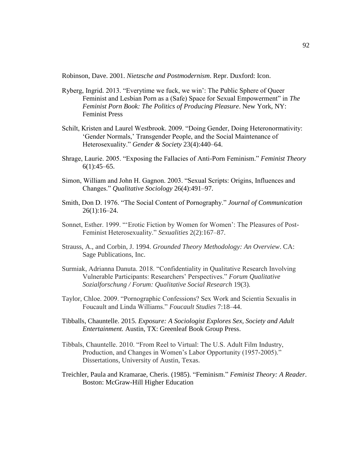Robinson, Dave. 2001. *Nietzsche and Postmodernism*. Repr. Duxford: Icon.

- Ryberg, Ingrid. 2013. "Everytime we fuck, we win': The Public Sphere of Queer Feminist and Lesbian Porn as a (Safe) Space for Sexual Empowerment" in *The Feminist Porn Book: The Politics of Producing Pleasure*. New York, NY: Feminist Press
- Schilt, Kristen and Laurel Westbrook. 2009. "Doing Gender, Doing Heteronormativity: 'Gender Normals,' Transgender People, and the Social Maintenance of Heterosexuality." *Gender & Society* 23(4):440–64.
- Shrage, Laurie. 2005. "Exposing the Fallacies of Anti-Porn Feminism." *Feminist Theory*  $6(1):45-65.$
- Simon, William and John H. Gagnon. 2003. "Sexual Scripts: Origins, Influences and Changes." *Qualitative Sociology* 26(4):491–97.
- Smith, Don D. 1976. "The Social Content of Pornography." *Journal of Communication* 26(1):16–24.
- Sonnet, Esther. 1999. "'Erotic Fiction by Women for Women': The Pleasures of Post-Feminist Heterosexuality." *Sexualities* 2(2):167–87.
- Strauss, A., and Corbin, J. 1994. *Grounded Theory Methodology: An Overview*. CA: Sage Publications, Inc.
- Surmiak, Adrianna Danuta. 2018. "Confidentiality in Qualitative Research Involving Vulnerable Participants: Researchers' Perspectives." *Forum Qualitative Sozialforschung / Forum: Qualitative Social Research* 19(3).
- Taylor, Chloe. 2009. "Pornographic Confessions? Sex Work and Scientia Sexualis in Foucault and Linda Williams." *Foucault Studies* 7:18–44.
- Tibballs, Chauntelle. 2015. *Exposure: A Sociologist Explores Sex, Society and Adult Entertainment.* Austin, TX: Greenleaf Book Group Press.
- Tibbals, Chauntelle. 2010. "From Reel to Virtual: The U.S. Adult Film Industry, Production, and Changes in Women's Labor Opportunity (1957-2005)." Dissertations, University of Austin, Texas.
- Treichler, Paula and Kramarae, Cheris. (1985). "Feminism." *Feminist Theory: A Reader*. Boston: McGraw-Hill Higher Education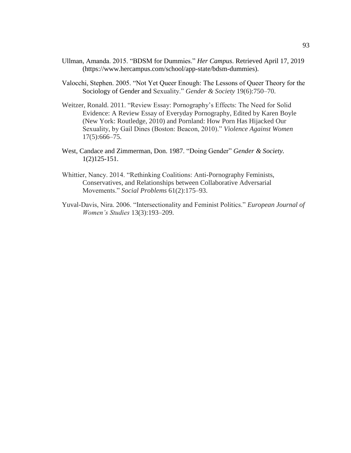- Ullman, Amanda. 2015. "BDSM for Dummies." *Her Campus*. Retrieved April 17, 2019 (https://www.hercampus.com/school/app-state/bdsm-dummies).
- Valocchi, Stephen. 2005. "Not Yet Queer Enough: The Lessons of Queer Theory for the Sociology of Gender and Sexuality." *Gender & Society* 19(6):750–70.
- Weitzer, Ronald. 2011. "Review Essay: Pornography's Effects: The Need for Solid Evidence: A Review Essay of Everyday Pornography, Edited by Karen Boyle (New York: Routledge, 2010) and Pornland: How Porn Has Hijacked Our Sexuality, by Gail Dines (Boston: Beacon, 2010)." *Violence Against Women* 17(5):666–75.
- West, Candace and Zimmerman, Don. 1987. "Doing Gender" *Gender & Society.*  1(2)125-151.
- Whittier, Nancy. 2014. "Rethinking Coalitions: Anti-Pornography Feminists, Conservatives, and Relationships between Collaborative Adversarial Movements." *Social Problems* 61(2):175–93.
- Yuval-Davis, Nira. 2006. "Intersectionality and Feminist Politics." *European Journal of Women's Studies* 13(3):193–209.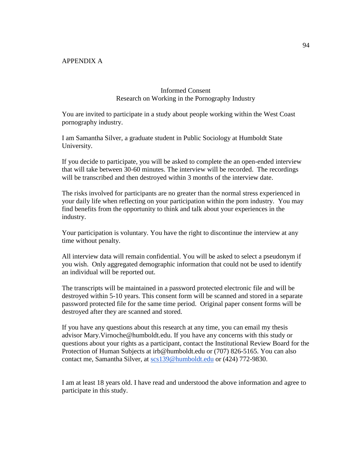# APPENDIX A

# Informed Consent Research on Working in the Pornography Industry

You are invited to participate in a study about people working within the West Coast pornography industry.

I am Samantha Silver, a graduate student in Public Sociology at Humboldt State University.

If you decide to participate, you will be asked to complete the an open-ended interview that will take between 30-60 minutes. The interview will be recorded. The recordings will be transcribed and then destroyed within 3 months of the interview date.

The risks involved for participants are no greater than the normal stress experienced in your daily life when reflecting on your participation within the porn industry. You may find benefits from the opportunity to think and talk about your experiences in the industry.

Your participation is voluntary. You have the right to discontinue the interview at any time without penalty.

All interview data will remain confidential. You will be asked to select a pseudonym if you wish. Only aggregated demographic information that could not be used to identify an individual will be reported out.

The transcripts will be maintained in a password protected electronic file and will be destroyed within 5-10 years. This consent form will be scanned and stored in a separate password protected file for the same time period. Original paper consent forms will be destroyed after they are scanned and stored.

If you have any questions about this research at any time, you can email my thesis advisor Mary.Virnoche@humboldt.edu. If you have any concerns with this study or questions about your rights as a participant, contact the Institutional Review Board for the Protection of Human Subjects at irb@humboldt.edu or (707) 826-5165. You can also contact me, Samantha Silver, at [scs139@humboldt.edu](mailto:scs139@humboldt.edu) or (424) 772-9830.

I am at least 18 years old. I have read and understood the above information and agree to participate in this study.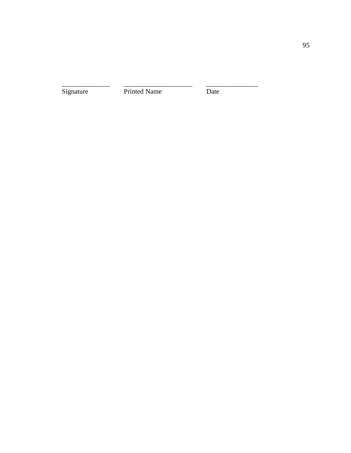Signature Printed Name Date

\_\_\_\_\_\_\_\_\_\_\_\_\_\_ \_\_\_\_\_\_\_\_\_\_\_\_\_\_\_\_\_\_\_\_ \_\_\_\_\_\_\_\_\_\_\_\_\_\_\_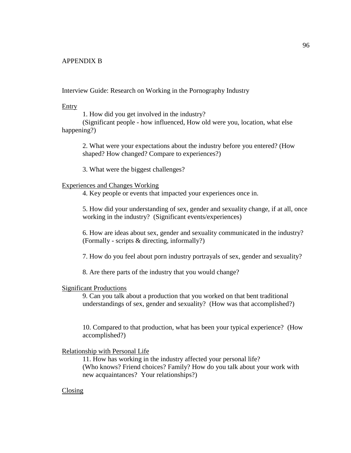# APPENDIX B

Interview Guide: Research on Working in the Pornography Industry

#### Entry

1. How did you get involved in the industry?

(Significant people - how influenced, How old were you, location, what else happening?)

2. What were your expectations about the industry before you entered? (How shaped? How changed? Compare to experiences?)

3. What were the biggest challenges?

#### Experiences and Changes Working

4. Key people or events that impacted your experiences once in.

5. How did your understanding of sex, gender and sexuality change, if at all, once working in the industry? (Significant events/experiences)

6. How are ideas about sex, gender and sexuality communicated in the industry? (Formally - scripts & directing, informally?)

7. How do you feel about porn industry portrayals of sex, gender and sexuality?

8. Are there parts of the industry that you would change?

#### Significant Productions

9. Can you talk about a production that you worked on that bent traditional understandings of sex, gender and sexuality? (How was that accomplished?)

10. Compared to that production, what has been your typical experience? (How accomplished?)

# Relationship with Personal Life

11. How has working in the industry affected your personal life? (Who knows? Friend choices? Family? How do you talk about your work with new acquaintances? Your relationships?)

# Closing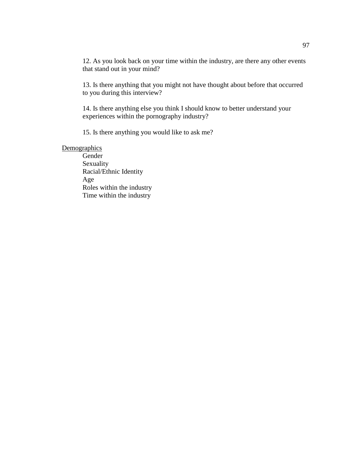12. As you look back on your time within the industry, are there any other events that stand out in your mind?

13. Is there anything that you might not have thought about before that occurred to you during this interview?

14. Is there anything else you think I should know to better understand your experiences within the pornography industry?

15. Is there anything you would like to ask me?

# **Demographics**

Gender Sexuality Racial/Ethnic Identity Age Roles within the industry Time within the industry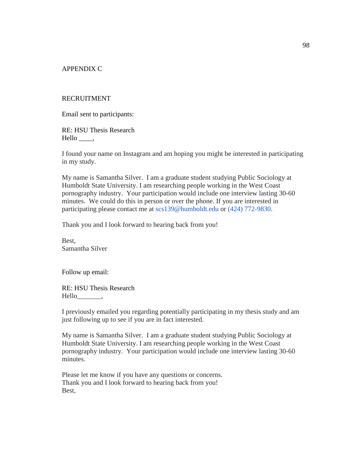APPENDIX C

#### RECRUITMENT

Email sent to participants:

RE: HSU Thesis Research Hello \_\_\_\_\_,

I found your name on Instagram and am hoping you might be interested in participating in my study.

My name is Samantha Silver. I am a graduate student studying Public Sociology at Humboldt State University. I am researching people working in the West Coast pornography industry. Your participation would include one interview lasting 30-60 minutes. We could do this in person or over the phone. If you are interested in participating please contact me at scs139@humboldt.edu or (424) 772-9830.

Thank you and I look forward to hearing back from you!

Best, Samantha Silver

Follow up email:

RE: HSU Thesis Research Hello\_\_\_\_\_\_\_,

I previously emailed you regarding potentially participating in my thesis study and am just following up to see if you are in fact interested.

My name is Samantha Silver. I am a graduate student studying Public Sociology at Humboldt State University. I am researching people working in the West Coast pornography industry. Your participation would include one interview lasting 30-60 minutes.

Please let me know if you have any questions or concerns. Thank you and I look forward to hearing back from you! Best,